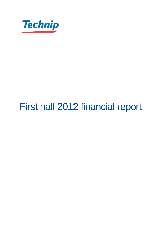

# First half 2012 financial report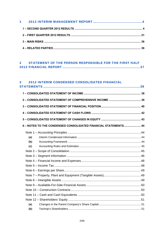#### STATEMENT OF THE PERSON RESPONSIBLE FOR THE FIRST HALF  $2^{\circ}$

| 3   | <b>2012 INTERIM CONDENSED CONSOLIDATED FINANCIAL</b>            |  |
|-----|-----------------------------------------------------------------|--|
|     |                                                                 |  |
|     |                                                                 |  |
|     |                                                                 |  |
|     |                                                                 |  |
|     |                                                                 |  |
|     | 6 - NOTES TO THE CONDENSED CONSOLIDATED FINANCIAL STATEMENTS 44 |  |
|     |                                                                 |  |
| (a) |                                                                 |  |
| (b) |                                                                 |  |
| (c) |                                                                 |  |
|     |                                                                 |  |
|     |                                                                 |  |
|     |                                                                 |  |
|     |                                                                 |  |
|     |                                                                 |  |
|     |                                                                 |  |
|     |                                                                 |  |
|     |                                                                 |  |
|     |                                                                 |  |
|     |                                                                 |  |
|     |                                                                 |  |
| (a) |                                                                 |  |
| (b) |                                                                 |  |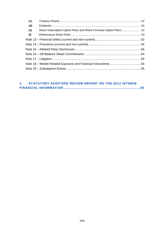| (c) |                                                                    |  |
|-----|--------------------------------------------------------------------|--|
| (d) |                                                                    |  |
| (e) | Share Subscription Option Plans and Share Purchase Option Plans 52 |  |
| (f) |                                                                    |  |
|     |                                                                    |  |
|     |                                                                    |  |
|     |                                                                    |  |
|     |                                                                    |  |
|     |                                                                    |  |
|     |                                                                    |  |
|     |                                                                    |  |

### 4 STATUTORY AUDITORS' REVIEW REPORT ON THE 2012 INTERIM FINANCIAL INFORMATION ............................................................................ 56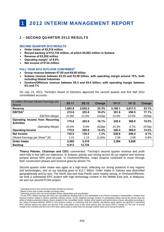## 1 2012 INTERIM MANAGEMENT REPORT

### 1 – SECOND QUARTER 2012 RESULTS

### **SECOND QUARTER 2012 RESULTS**

- **Order intake of €2,516 million**
- **Record backlog of €12,724 million, of which €5,963 million in Subsea**
- **Revenue of €2,052 million**
- **Operating margin<sup>1</sup> of 9.9%**
- **Net income of €134 million**

### **FULL YEAR 2012 OUTLOOK CONFIRMED2**

- **Group revenue between €7.65 and €8.00 billion**
- **Subsea revenue between €3.35 and €3.50 billion, with operating margin around 15%, both including Global Industries**
- **Onshore/Offshore revenue between €4.3 and €4.5 billion, with operating margin between 6% and 7%**

On July 24, 2012, Technip's Board of Directors approved the second quarter and first half 2012 consolidated accounts.

| € million (Except Diluted Earnings per<br>Share)            | 2Q 11   | 2Q 12   | Change             | 1H 11   | 1H 12   | <b>Change</b> |
|-------------------------------------------------------------|---------|---------|--------------------|---------|---------|---------------|
| Revenue                                                     | 1,663.9 | 2,052.2 | 23.3%              | 3,100.1 | 3,817.5 | 23.1%         |
| EBITDA <sup>3</sup>                                         | 212.6   | 253.8   | 19.4%              | 391.6   | 458.5   | 17.1%         |
| <b>EBITDA Margin</b>                                        | 12.8%   | 12.4%   | (41)bp             | 12.6%   | 12.0%   | (62)bp        |
| <b>Operating Income from Recurring</b><br><b>Activities</b> | 175.6   | 203.8   | 16.1%              | 320.4   | 369.0   | 15.2%         |
| <b>Operating Margin</b>                                     | 10.6%   | 9.9%    | (62) <sub>bp</sub> | 10.3%   | 9.7%    | (67) bp       |
| <b>Operating Income</b>                                     | 175.6   | 200.8   | 14.4%              | 320.4   | 366.0   | 14.2%         |
| Net Income                                                  | 132.5   | 134.2   | 1.3%               | 236.8   | 246.4   | 4.1%          |
| Diluted Earnings per Share <sup>4</sup> ( $\in$ )           | 1.15    | 1.13    | (1.8)%             | 2.06    | 2.08    | 0.9%          |
| <b>Order Intake</b>                                         | 2,092   | 2,516   |                    | 3,384   | 5,826   |               |
| <b>Backlog</b>                                              | 9,413   | 12,724  |                    |         |         |               |

**Thierry Pilenko, Chairman and CEO**, commented: "Technip's second quarter revenue and profit were fully in line with our objectives. In Subsea, activity was strong across all our regions and revenue jumped almost 50% year-on-year. In Onshore/Offshore, major projects continued to move through their construction phases and revenue grew by almost 7%.

Second quarter order intake was again at a high level, reflecting our strong positions in key regions and technologies, and so our backlog grew to €12.7 billion. Order intake in Subsea was diversified geographically and by size. The North Sea and Asia Pacific were notably strong. In Onshore/Offshore, we took a substantial EPC project with high technology content in the Middle East and, in Malaysia, we won our second FLNG project.

<sup>&</sup>lt;sup>1</sup> Operating income from recurring activities divided by revenue.

<sup>&</sup>lt;sup>2</sup> Based on the year-to-date average exchange rates.

<sup>&</sup>lt;sup>3</sup> Operating income from recurring activities before depreciation and amortization.

<sup>&</sup>lt;sup>4</sup> As per IFRS, diluted earnings per share are calculated by dividing profit or loss attributable to the Parent Company's Shareholders, restated from financial interest related to dilutive potential ordinary shares, by the weighted average number of outstanding shares during the period, plus the effect of dilutive potential ordinary shares related to the convertible bonds, dilutive stock options and performance shares calculated according to the "Share Purchase Method" (IFRS 2), less treasury shares. In conformity with this method, anti-dilutive stock options are ignored in calculating EPS. Dilutive options are taken into account if the subscription price of the stock options plus the future IFRS 2 charge (i.e. the sum of annual charge to be recorded until the end of the stock option plan) is lower than the average market share price during the period.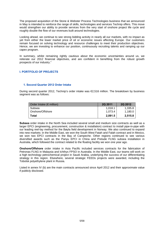The proposed acquisition of the Stone & Webster Process Technologies business that we announced in May is intended to reinforce the range of skills, technologies and services Technip offers. This move would strengthen our ability to provide services from the very start of onshore project life cycle and roughly double the flow of our revenues built around technologies.

Looking ahead, we continue to see strong bidding activity in nearly all our markets, with no impact as yet from either the lower market price of oil or economic issues affecting Europe. Our customers remain focused on solving technology and resource challenges to meet their production objectives. Hence, we are investing to enhance our position, continuously recruiting talents and ramping up our capex program.

In summary, whilst remaining rightly cautious about the economic uncertainties around us, we reiterate our 2012 financial objectives, and are confident in benefiting from the robust growth prospects of our industry."

### **I. PORTFOLIO OF PROJECTS**

### **1. Second Quarter 2012 Order Intake**

During second quarter 2012, Technip's order intake was €2,516 million. The breakdown by business segment was as follows:

| Order Intake ( $\notin$ million) | 2Q 2011 | 2Q 2012 |
|----------------------------------|---------|---------|
| Subsea                           | 1.018.1 | 1,335.8 |
| l Onshore/Offshore               | 1.073.4 | 1.180.0 |
| Total                            | 2.091.5 | 2.515.8 |

**Subsea** order intake in the North Sea included several small and medium size contracts as well as a larger EPCI (engineering, procurement, construction & installation) contract to install pipe-in-pipe with our leading reel-lay method for the Bøyla field development in Norway. We also continued to expand into new markets: in the Middle East, we won the South West Fatah and Falah contract and in Mexico, we won two EPCI contracts in the Bay of Campeche. Other regions continued to see various diversified awards such as the Panyu EPCI in China and Prelude FLNG subsea installation in Australia, which followed the contract related to the floating facility we won one year ago.

**Onshore/Offshore** order intake in Asia Pacific included services contracts for the fabrication of Petronas FLNG in Malaysia and Ichthys FPSO in Australia. In the Middle East, our teams will work on a high technology petrochemical project in Saudi Arabia, underlying the success of our differentiating strategy in this region. Elsewhere, several strategic FEEDs projects were awarded, including the Tobolsk polyethylene plant in Russia.

Listed in annex IV (b) are the main contracts announced since April 2012 and their approximate value if publicly disclosed.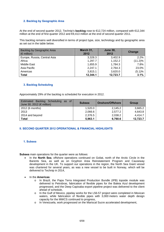### **2. Backlog by Geographic Area**

At the end of second quarter 2012, Technip's **backlog** rose to €12,724 million, compared with €12,344 million at the end of first quarter 2012 and €9,413 million at the end of second quarter 2011.

This backlog remains well diversified in terms of project type, size, technology and by geographic area as set out in the table below.

| Backlog by Geographic Area   | March 31, | <b>June 30,</b> | Change     |
|------------------------------|-----------|-----------------|------------|
| $(\epsilon$ million)         | 2012      | 2012            |            |
| Europe, Russia, Central Asia | 3,328.3   | 3,402.9         | 2.2%       |
| Africa                       | 1,297.7   | 1,152.2         | $(11.2)\%$ |
| Middle East                  | 1,655.9   | 1,784.3         | 7.8%       |
| Asia Pacific                 | 2,247.1   | 2,764.3         | 23.0%      |
| Americas                     | 3,815.1   | 3,620.0         | (5.1)%     |
| <b>Total</b>                 | 12,344.1  | 12,723.7        | 3.1%       |

### **3. Backlog Scheduling**

Approximately 29% of the backlog is scheduled for execution in 2012.

| Backlog Scheduling as of<br>Estimated<br>June 30, 2012 ( $\notin$ million) | <b>Subsea</b> | <b>Onshore/Offshore</b> | <b>Group</b> |
|----------------------------------------------------------------------------|---------------|-------------------------|--------------|
| 2012 (6 months)                                                            | 1,520.0       | 2,145.2                 | 3,665.2      |
| 2013                                                                       | 2,066.6       | 2,577.2                 | 4,643.8      |
| 2014 and beyond                                                            | 2,376.5       | 2,038.2                 | 4,414.7      |
| <b>Total</b>                                                               | 5,963.1       | 6,760.6                 | 12,723.7     |

### **II. SECOND QUARTER 2012 OPERATIONAL & FINANCIAL HIGHLIGHTS**

### **1. Subsea**

**Subsea** main operations for the quarter were as follows:

- In the **North Sea**, offshore operations continued on Goliat, north of the Arctic Circle in the Barents Sea, as well as on Gryphon Area Reinstatement Program and Causeway development in the UK. To support our operations in the region, the North Sea Giant vessel was chartered for several years, as was a new vessel to be built in Norway, which will be delivered to Technip in 2014,
- In the **Americas**:
	- o In Brazil, the Papa Terra Integrated Production Bundle (IPB) topside module was delivered to Petrobras, fabrication of flexible pipes for the Baleia Azul development progressed, and the Deep Capixaba export pipeline project was delivered to the client ahead of schedule,
	- o In the Gulf of Mexico, pipelay works for the L56-57 project were completed in Mexican waters, while fabrication of flexible pipes with 3,000 meters water depth design capacity for the MWCS continued to progress,
	- o In Venezuela, work progressed on the Mariscal Sucre accelerated development,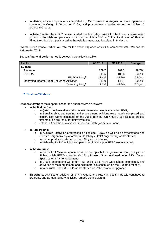- In **Africa**, offshore operations completed on GirRi project in Angola, offshore operations continued in Congo & Gabon for CoGa, and procurement activities started on Jubilee 1A project in Ghana,
- In **Asia Pacific**, the G1201 vessel started her first S-lay project for the Liwan shallow water project, while offshore operations continued on Liuhua 11-1 in China. Fabrication of Fletcher Finucane's flexible pipes started at the Asiaflex manufacturing plant, in Malaysia.

Overall Group **vessel utilization rate** for the second quarter was 74%, compared with 62% for the first quarter 2012.

Subsea **financial performance** is set out in the following table:

| $\epsilon$ million                                | 2Q 2011 | 2Q 2012 | Change  |
|---------------------------------------------------|---------|---------|---------|
| <b>Subsea</b>                                     |         |         |         |
| Revenue                                           | 659.7   | 981.2   | 48.7%   |
| <b>EBITDA</b>                                     | 141.5   | 188.5   | 33.2%   |
| <b>EBITDA Margin</b>                              | 21.4%   | 19.2%   | (224)bp |
| <b>Operating Income From Recurring Activities</b> | 111.9   | 145.7   | 30.2%   |
| <b>Operating Margin</b>                           | 17.0%   | 14.8%   | (211)bp |

### **2. Onshore/Offshore**

**Onshore/Offshore** main operations for the quarter were as follows:

- In the **Middle East**:
	- o In Qatar, mechanical, electrical & instrumentation works started on PMP,
	- o In Saudi Arabia, engineering and procurement activities were nearly completed and construction works continued on the Jubail refinery. On Khafji Crude Related project, first modules are ready for delivery to site,
	- o Offshore Abu Dhabi, works continued on Satah gas development,
- In **Asia Pacific**:
	- o In Australia, activities progressed on Prelude FLNG, as well as on Wheatstone and Greater Gorgon fixed platforms, while Ichthys FPSO engineering works started,
	- o In China, production started on both Ningxia LNG trains,
	- o In Malaysia, RAPID refining and petrochemical complex FEED works started,
- In the **Americas**,
	- o In the Gulf of Mexico, fabrication of Lucius Spar hull progressed on Pori, our yard in Finland, while FEED works for Mad Dog Phase II Spar continued under BP's 10-year Spar platform frame agreement,
	- o In Brazil, engineering works for P-58 and P-62 FPSOs were almost completed, and deliveries of main equipment and bulk materials continued on the Cubatão refinery,
	- o In Venezuela, basic & FEED works started on Petrocarabobo upgrader,
- **Elsewhere**, activities on Algiers refinery in Algeria and Ikra vinyl plant in Russia continued to progress, and Burgas refinery activities ramped up in Bulgaria.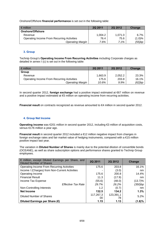Onshore/Offshore **financial performance** is set out in the following table:

| $\epsilon$ million                         | 2Q 2011 | 2Q 2012 | Change    |
|--------------------------------------------|---------|---------|-----------|
| <b>Onshore/Offshore</b>                    |         |         |           |
| Revenue                                    | 1.004.2 | 1.071.0 | 6.7%      |
| Operating Income From Recurring Activities | 76.4    | 75.6    | $(1.0)\%$ |
| <b>Operating Margin</b>                    | 7.6%    | 7.1%    | (55)bp    |

### **3. Group**

Technip Group's **Operating Income From Recurring Activities** including Corporate charges as detailed in annex I (c) is set out in the following table:

| $\epsilon$ million                         | 2Q 2011 | 2Q 2012 | Change |
|--------------------------------------------|---------|---------|--------|
| Group                                      |         |         |        |
| Revenue                                    | 1,663.9 | 2,052.2 | 23.3%  |
| Operating Income From Recurring Activities | 175.6   | 203.8   | 16.1%  |
| <b>Operating Margin</b>                    | 10.6%   | 9.9%    | (62)bp |

In second quarter 2012, **foreign exchange** had a positive impact estimated at €67 million on revenue and a positive impact estimated at €5 million on operating income from recurring activities.

**Financial result** on contracts recognized as revenue amounted to €4 million in second quarter 2012.

### **4. Group Net Income**

**Operating income** was €201 million in second quarter 2012, including €3 million of acquisition costs, versus €176 million a year ago.

**Financial result** in second quarter 2012 included a €12 million negative impact from changes in foreign exchange rates and fair market value of hedging instruments, compared with a €15 million positive impact last year.

The variation in **Diluted Number of Shares** is mainly due to the potential dilution of convertible bonds (OCEANE), as well as share subscription options and performance shares granted to Technip Group employees.

| $\epsilon$ million, except Diluted Earnings per Share, and<br><b>Diluted Number of Shares</b> | <b>2Q 2011</b> | <b>2Q 2012</b> | Change     |
|-----------------------------------------------------------------------------------------------|----------------|----------------|------------|
| Operating Income From Recurring Activities                                                    | 175.6          | 203.8          | 16.1%      |
| Income / (Charges) from Non-Current Activities                                                |                | (3.0)          | nm         |
| Operating Income                                                                              | 175.6          | 200.8          | 14.4%      |
| <b>Financial Result</b>                                                                       | 11.3           | (17.9)         | nm         |
| Income Tax Expense                                                                            | (55.6)         | (48.0)         | $(13.7)\%$ |
| <b>Effective Tax Rate</b>                                                                     | 29.7%          | 26.2%          | (350)bp    |
| Non-Controlling Interests                                                                     | 1.2            | (0.7)          | nm         |
| <b>Net Income</b>                                                                             | 132.5          | 134.2          | 1.3%       |
| <b>Diluted Number of Shares</b>                                                               | 117,267,3      | 123.391.1      | 5.2%       |
|                                                                                               | 00             | 78             |            |
| Diluted Earnings per Share $(\epsilon)$                                                       | 1.15           | 1.13           | $(1.8)\%$  |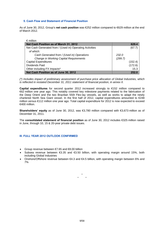### **5. Cash Flow and Statement of Financial Position**

As of June 30, 2012, Group's **net cash position** was €252 million compared to €629 million at the end of March 2012.

| $\epsilon$ million                                       |         |
|----------------------------------------------------------|---------|
| Net Cash Position as of March 31, 2012                   | 629.4   |
| Net Cash Generated from / (Used in) Operating Activities | (67.7)  |
| of which:                                                |         |
| Cash Generated from / (Used in) Operations               | 232.0   |
| Change in Working Capital Requirements                   | (299.7) |
| <b>Capital Expenditures</b>                              | (152.4) |
| Dividends Paid                                           | (172.6) |
| Other including FX Impacts*                              | 15.3    |
| Net Cash Position as of June 30, 2012                    | 252.0   |

*(\*) Includes impact of preliminary assessment of purchase price allocation of Global Industries, which is reflected in restated December 31, 2011 statement of financial position, in annex II.* 

**Capital expenditures** for second quarter 2012 increased strongly to €152 million compared to €62 million one year ago. This notably covered key milestone payments related to the fabrication of the Deep Orient and the two Brazilian 550t Flex-lay vessels, as well as works to adapt the newly chartered North Sea Giant vessel. In the first half of 2012, capital expenditures amounted to €248 million versus €112 million one year ago. Total capital expenditure for 2012 is now expected to exceed €400 million.

**Shareholders' equity** as of June 30, 2012, was €3,780 million compared with €3,673 million as of December 31, 2011.

The **consolidated statement of financial position** as of June 30, 2012 includes €325 million raised in June, through 10, 15 & 20-year private debt issues.

### **III. FULL YEAR 2012 OUTLOOK CONFIRMED**

- Group revenue between €7.65 and €8.00 billion
- Subsea revenue between €3.35 and €3.50 billion, with operating margin around 15%, both including Global Industries
- Onshore/Offshore revenue between €4.3 and €4.5 billion, with operating margin between 6% and 7%

°  $\circ$   $\circ$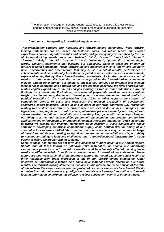The information package on Second Quarter 2012 results includes this press release and the annexes which follow, as well as the presentation published on Technip's website: www.technip.com

### **Cautionary note regarding forward-looking statements**

*This presentation contains both historical and forward-looking statements. These forward*looking statements are not based on historical facts, but rather reflect our current *expectations concerning future results and events, and generally may be identified by the use of forward-looking words such as "believe", "aim", "expect", "anticipate", "intend", "foresee", "likely", "should", "planned", "may", "estimates", "potential" or other similar words. Similarly, statements that describe our objectives, plans or goals are or may be forward-looking statements. These forward-looking statements involve known and unknown risks, uncertainties and other factors that may cause our actual results, performance or achievements to differ materially from the anticipated results, performance or achievements expressed or implied by these forward-looking statements. Risks that could cause actual results to differ materially from the results anticipated in the forward-looking statements include, among other things: our ability to successfully continue to originate and execute large services contracts, and construction and project risks generally; the level of productionrelated capital expenditure in the oil and gas industry as well as other industries; currency fluctuations; interest rate fluctuations; raw material (especially steel) as well as maritime freight price fluctuations; the timing of development of energy resources; armed conflict or political instability in the Arabian-Persian Gulf, Africa or other regions; the strength of competition; control of costs and expenses; the reduced availability of governmentsponsored export financing; losses in one or more of our large contracts; U.S. legislation relating to investments in Iran or elsewhere where we seek to do business; changes in tax legislation, rules, regulation or enforcement; intensified price pressure by our competitors; severe weather conditions; our ability to successfully keep pace with technology changes; our ability to attract and retain qualified personnel; the evolution, interpretation and uniform application and enforcement of International Financial Reporting Standards (IFRS), according to which we prepare our financial statements as of January 1, 2005; political and social stability in developing countries; competition; supply chain bottlenecks; the ability of our subcontractors to attract skilled labor; the fact that our operations may cause the discharge of hazardous substances, leading to significant environmental remediation costs; our ability to manage and mitigate logistical challenges due to underdeveloped infrastructure in some countries where we are performing projects.* 

*Some of these risk factors are set forth and discussed in more detail in our Annual Report. Should one of these known or unknown risks materialize, or should our underlying assumptions prove incorrect, our future results could be adversely affected, causing these results to differ materially from those expressed in our forward-looking statements. These factors are not necessarily all of the important factors that could cause our actual results to differ materially from those expressed in any of our forward-looking statements. Other unknown or unpredictable factors also could have material adverse effects on our future results. The forward-looking statements included in this release are made only as of the date of this release. We cannot assure you that projected results or events will be achieved. We do not intend, and do not assume any obligation to update any industry information or forwardlooking information set forth in this release to reflect subsequent events or circumstances.* 

*\*\*\*\**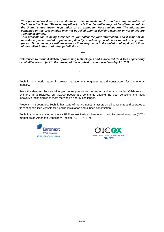*This presentation does not constitute an offer or invitation to purchase any securities of Technip in the United States or any other jurisdiction. Securities may not be offered or sold in the United States absent registration or an exemption from registration. The information contained in this presentation may not be relied upon in deciding whether or not to acquire Technip securities.* 

*This presentation is being furnished to you solely for your information, and it may not be* reproduced, redistributed or published, directly or indirectly, in whole or in part, to any other *person. Non-compliance with these restrictions may result in the violation of legal restrictions* **of the United States or of other jurisdictions.** 

*Referen nces to Ston ne & Webste er processin ng technolog gies and as sociated Oil il & Gas eng gineering capabilities are subject to the closing of the acquisition announced on May 21, 2012.* 

*\*\*\*\** 

°  $\circ$   $\circ$ 

Technip is a world leader in project management, engineering and construction for the energy industry.

industry.<br>From the deepest Subsea oil & gas developments to the largest and most complex Offshore and Onshore infrastructures, our 30,000 people are constantly offering the best solutions and most innovative technologies to meet the world's energy challenges.

Present in 48 countries, Technip has state-of-the-art industrial assets on all continents and operates a fleet of specialized vessels for pipeline installation and subsea construction.

Technip shares are listed on the NYSE Euronext Paris exchange and the USA over-the-counter (OTC) market as an American Depositary Receipt (ADR: TKPPY).



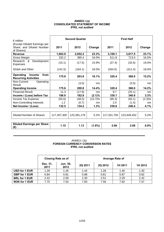### **ANNEX I (a) CONSOLIDATED STATEMENT OF INCOME IFRS, not audited**

| $\epsilon$ million                                                      |             | <b>Second Quarter</b> |            | <b>First Half</b> |             |           |  |
|-------------------------------------------------------------------------|-------------|-----------------------|------------|-------------------|-------------|-----------|--|
| (Except Diluted Earnings per<br>Share, and Diluted Number<br>of Shares) | 2011        | 2012                  | Change     | 2011              | 2012        | Change    |  |
| <b>Revenue</b>                                                          | 1,663.9     | 2,052.2               | 23.3%      | 3,100.1           | 3,817.5     | 23.1%     |  |
| Gross Margin                                                            | 332.2       | 385.4                 | 16.0%      | 611.8             | 713.0       | 16.5%     |  |
| Research<br>Development<br>&<br>Expenses                                | (15.1)      | (17.5)                | 15.9%      | (27.4)            | (32.6)      | 19.0%     |  |
| SG&A and Other                                                          | (141.5)     | (164.1)               | 16.0%      | (264.0)           | (311.4)     | 18.0%     |  |
| Operating<br><b>Income</b><br>from<br><b>Recurring Activities</b>       | 175.6       | 203.8                 | 16.1%      | 320.4             | 369.0       | 15.2%     |  |
| Non-Current<br>Operating<br>Result                                      |             | (3.0)                 | nm         |                   | (3.0)       | nm        |  |
| <b>Operating Income</b>                                                 | 175.6       | 200.8                 | 14.4%      | 320.4             | 366.0       | 14.2%     |  |
| <b>Financial Result</b>                                                 | 11.3        | (17.9)                | nm         | 9.7               | (25.1)      | nm        |  |
| Income / (Loss) before Tax                                              | 186.9       | 182.9                 | $(2.1)\%$  | 330.1             | 340.9       | 3.3%      |  |
| Income Tax Expense                                                      | (55.6)      | (48.0)                | $(13.7)\%$ | (95.3)            | (93.1)      | $(2.3)\%$ |  |
| Non-Controlling Interests                                               | 1.2         | (0.7)                 | nm         | 2.0               | (1.4)       | nm        |  |
| Net Income / (Loss)                                                     | 132.5       | 134.2                 | 1.3%       | 236.8             | 246.4       | 4.1%      |  |
|                                                                         |             |                       |            |                   |             |           |  |
| <b>Diluted Number of Shares</b>                                         | 117,267,300 | 123,391,178           | 5.2%       | 117,331,750       | 123,449,452 | 5.2%      |  |
|                                                                         |             |                       |            |                   |             |           |  |
| <b>Diluted Earnings per Share</b><br>(€)                                | 1.15        | 1.13                  | $(1.8\%)$  | 2.06              | 2.08        | 0.9%      |  |

### ANNEX I (b) **FOREIGN CURRENCY CONVERSION RATES IFRS, not audited**

|                      | <b>Closing Rate as of</b> |                  |         |         | Average Rate of |         |
|----------------------|---------------------------|------------------|---------|---------|-----------------|---------|
|                      | Dec. 31,<br>2011          | Jun. 30,<br>2012 | 2Q 2011 | 2Q 2012 | 1H 2011         | 1H 2012 |
| <b>USD for 1 EUR</b> | 1.29                      | 1.26             | 1.44    | 1.28    | 1.40            | 1.30    |
| <b>GBP for 1 EUR</b> | 0.84                      | 0.81             | 0.88    | 0.81    | 0.87            | 0.82    |
| <b>BRL for 1 EUR</b> | 2.42                      | 2.58             | 2.30    | 2.51    | 2.29            | 2.42    |
| <b>NOK for 1 EUR</b> | 7.75                      | 7.53             | 7.83    | 7.56    | 7.82            | 7.57    |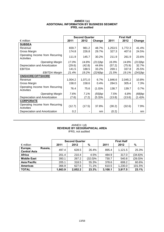### **ANNEX I (c) ADDITIONAL INFORMATION BY BUSINESS SEGMENT IFRS, not audited**

|                                                      | <b>Second Quarter</b> |         | <b>First Half</b> |         |         |         |
|------------------------------------------------------|-----------------------|---------|-------------------|---------|---------|---------|
| $\epsilon$ million                                   | 2011                  | 2012    | Change            | 2011    | 2012    | Change  |
| <b>SUBSEA</b>                                        |                       |         |                   |         |         |         |
| Revenue                                              | 659.7                 | 981.2   | 48.7%             | 1,253.5 | 1,772.3 | 41.4%   |
| Gross Margin                                         | 174.8                 | 226.8   | 29.7%             | 327.3   | 407.6   | 24.5%   |
| Operating Income from Recurring<br>Activities        | 111.9                 | 145.7   | 30.2%             | 211.9   | 261.9   | 23.6%   |
| <b>Operating Margin</b>                              | 17.0%                 | 14.8%   | (211)bp           | 16.9%   | 14.8%   | (213)bp |
| Depreciation and Amortization                        | (29.6)                | (42.8)  | 44.6%             | (57.2)  | (75.9)  | 32.7%   |
| <b>EBITDA</b>                                        | 141.5                 | 188.5   | 33.2%             | 269.1   | 337.8   | 25.5%   |
| EBITDA Margin                                        | 21.4%                 | 19.2%   | (224)bp           | 21.5%   | 19.1%   | (241)bp |
| <b>ONSHORE/OFFSHORE</b>                              |                       |         |                   |         |         |         |
| Revenue                                              | 1,004.2               | 1,071.0 | 6.7%              | 1,846.6 | 2,045.2 | 10.8%   |
| Gross Margin                                         | 158.0                 | 158.6   | 0.4%              | 284.5   | 305.4   | 7.3%    |
| Operating Income from Recurring<br>Activities        | 76.4                  | 75.6    | (1.0)%            | 138.7   | 139.7   | 0.7%    |
| <b>Operating Margin</b>                              | 7.6%                  | 7.1%    | (55)bp            | 7.5%    | 6.8%    | (68)bp  |
| Depreciation and Amortization                        | (7.6)                 | (7.2)   | (5.3)%            | (13.8)  | (13.6)  | (1.4)%  |
| <b>CORPORATE</b>                                     |                       |         |                   |         |         |         |
| Operating Income from Recurring<br><b>Activities</b> | (12.7)                | (17.5)  | 37.8%             | (30.2)  | (32.6)  | 7.9%    |
| Depreciation and Amortization                        | 0.2                   |         | nm                | (0.2)   |         | nm      |

### ANNEX I (d) **REVENUE BY GEOGRAPHICAL AREA** IFRS, not audited

|                                |         | <b>Second Quarter</b> |         |            |         | <b>First Half</b> |            |
|--------------------------------|---------|-----------------------|---------|------------|---------|-------------------|------------|
| $\epsilon$ million             |         | 2011                  | 2012    | %          | 2011    | 2012              | $\%$       |
| Europe,<br><b>Central Asia</b> | Russia, | 497.4                 | 628.5   | 26.4%      | 895.4   | 1,121.5           | 25.3%      |
| <b>Africa</b>                  |         | 201.4                 | 210.4   | 4.5%       | 484.9   | 317.0             | $(34.6)\%$ |
| <b>Middle East</b>             |         | 393.1                 | 267.2   | $(32.0)\%$ | 730.7   | 540.8             | $(26.0)\%$ |
| <b>Asia Pacific</b>            |         | 205.1                 | 318.5   | 55.3%      | 378.6   | 608.2             | 60.6%      |
| <b>Americas</b>                |         | 366.9                 | 627.6   | 71.1%      | 610.5   | 1,230.0           | 101.5%     |
| <b>TOTAL</b>                   |         | 1,663.9               | 2,052.2 | 23.3%      | 3,100.1 | 3,817.5           | 23.1%      |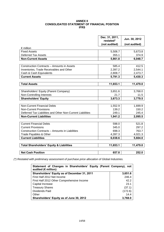### **ANNEX II CONSOLIDATED STATEMENT OF FINANCIAL POSITION IFRS**

|                                                            | Dec. 31, 2011,<br>restated* | Jun. 30, 2012 |
|------------------------------------------------------------|-----------------------------|---------------|
|                                                            | (not audited)               | (not audited) |
| $\epsilon$ million                                         |                             |               |
| <b>Fixed Assets</b>                                        | 5,506.7                     | 5,673.8       |
| <b>Deferred Tax Assets</b>                                 | 355.1                       | 374.9         |
| <b>Non-Current Assets</b>                                  | 5,861.8                     | 6,048.7       |
|                                                            |                             |               |
| Construction Contracts - Amounts in Assets                 | 585.4                       | 412.5         |
| Inventories, Trade Receivables and Other                   | 2,397.2                     | 2,544.1       |
| Cash & Cash Equivalents                                    | 2,808.7                     | 2,473.7       |
| <b>Current Assets</b>                                      | 5,791.3                     | 5,430.3       |
|                                                            |                             |               |
| <b>Total Assets</b>                                        | 11,653.1                    | 11,479.0      |
|                                                            |                             |               |
| Shareholders' Equity (Parent Company)                      | 3,651.6                     | 3,768.0       |
| Non-Controlling Interests                                  | 21.7                        | 11.5          |
| <b>Shareholders' Equity</b>                                | 3,673.3                     | 3,779.5       |
|                                                            |                             |               |
| <b>Non-Current Financial Debts</b>                         | 1,552.9                     | 1,699.9       |
| <b>Non-Current Provisions</b>                              | 139.2                       | 150.2         |
| Deferred Tax Liabilities and Other Non-Current Liabilities | 249.1                       | 245.4         |
| <b>Non-Current Liabilities</b>                             | 1,941.2                     | 2,095.5       |
|                                                            |                             |               |
| <b>Current Financial Debts</b>                             | 598.0                       | 521.8         |
| <b>Current Provisions</b>                                  | 345.0                       | 297.2         |
| Construction Contracts - Amounts in Liabilities            | 698.3                       | 763.7         |
| Trade Payables & Other                                     | 4,397.3                     | 4,021.3       |
| <b>Current Liabilities</b>                                 | 6,038.6                     | 5,604.0       |
|                                                            |                             |               |
| <b>Total Shareholders' Equity &amp; Liabilities</b>        | 11,653.1                    | 11,479.0      |
|                                                            |                             |               |
| <b>Net Cash Position</b>                                   | 657.8                       | 252.0         |

*(\*) Restated with preliminary assessment of purchase price allocation of Global Industries.*

| Statement of Changes in Shareholders' Equity (Parent Company), not<br>audited (€ million): |         |
|--------------------------------------------------------------------------------------------|---------|
| Shareholders' Equity as of December 31, 2011                                               | 3,651.6 |
| First Half 2012 Net Income                                                                 | 246.4   |
| First Half 2012 Other Comprehensive Income                                                 | 42.2    |
| Capital Increase                                                                           | 23.1    |
| <b>Treasury Shares</b>                                                                     | (37.1)  |
| Dividends Paid                                                                             | (172.6) |
| Other                                                                                      | 14.4    |
| Shareholders' Equity as of June 30, 2012                                                   | 3,768.0 |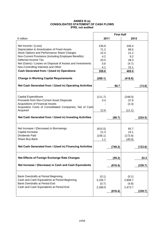### **ANNEX III (a) CONSOLIDATED STATEMENT OF CASH FLOWS IFRS, not audited**

|                                                                                                                                                                                                                                                                                                                                                                                                      |                                                                        | <b>First Half</b>                                                         |
|------------------------------------------------------------------------------------------------------------------------------------------------------------------------------------------------------------------------------------------------------------------------------------------------------------------------------------------------------------------------------------------------------|------------------------------------------------------------------------|---------------------------------------------------------------------------|
| $\epsilon$ million                                                                                                                                                                                                                                                                                                                                                                                   | 2011                                                                   | 2012                                                                      |
| Net Income / (Loss)<br>Depreciation & Amortization of Fixed Assets<br>Stock Options and Performance Share Charges<br>Non-Current Provisions (including Employee Benefits)<br>Deferred Income Tax<br>Net (Gains) / Losses on Disposal of Assets and Investments<br>Non-Controlling Interests and Other<br>Cash Generated from / (Used in) Operations<br><b>Change in Working Capital Requirements</b> | 236.8<br>71.2<br>22.4<br>4.2<br>20.5<br>0.6<br>4.1<br>359.8<br>(269.1) | 246.4<br>89.5<br>21.2<br>9.2<br>28.3<br>(4.7)<br>15.1<br>405.0<br>(418.6) |
| Net Cash Generated from / (Used in) Operating Activities                                                                                                                                                                                                                                                                                                                                             | 90.7                                                                   | (13.6)                                                                    |
| <b>Capital Expenditures</b><br>Proceeds from Non-Current Asset Disposals<br><b>Acquisitions of Financial Assets</b><br>Acquisition Costs of Consolidated Companies, Net of Cash<br>Acquired<br>Net Cash Generated from / (Used in) Investing Activities<br>Net Increase / (Decrease) in Borrowings                                                                                                   | (111.7)<br>0.4<br>12.6<br>(98.7)<br>(615.5)                            | (248.0)<br>37.9<br>(3.3)<br>(11.1)<br>(224.5)<br>65.7                     |
| Capital Increase<br>Dividends Paid                                                                                                                                                                                                                                                                                                                                                                   | 21.3<br>(156.1)                                                        | 23.1<br>(172.6)                                                           |
| Share Buy-Back                                                                                                                                                                                                                                                                                                                                                                                       | 1.1                                                                    | (40.0)                                                                    |
| Net Cash Generated from / (Used in) Financing Activities                                                                                                                                                                                                                                                                                                                                             | (749.2)                                                                | (123.8)                                                                   |
| Net Effects of Foreign Exchange Rate Changes                                                                                                                                                                                                                                                                                                                                                         | (59.2)                                                                 | 22.2                                                                      |
| Net Increase / (Decrease) in Cash and Cash Equivalents                                                                                                                                                                                                                                                                                                                                               | (816.4)                                                                | (339.7)                                                                   |
| Bank Overdrafts at Period Beginning<br>Cash and Cash Equivalents at Period Beginning<br>Bank Overdrafts at Period End<br>Cash and Cash Equivalents at Period End                                                                                                                                                                                                                                     | (0.1)<br>3,105.7<br>(0.7)<br>2,289.9<br>(816.4)                        | (0.1)<br>2,808.7<br>(4.8)<br>2,473.7<br>(339.7)                           |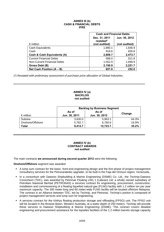#### **ANNEX III (b) CASH & FINANCIAL DEBTS IFRS**

|                                    | <b>Cash and Financial Debts</b> |               |  |
|------------------------------------|---------------------------------|---------------|--|
|                                    | Dec. 31, 2011<br>restated*      | Jun. 30, 2012 |  |
| $\epsilon$ million                 | (not audited)                   | (not audited) |  |
| Cash Equivalents                   | 1,890.1                         | 1,646.9       |  |
| Cash                               | 918.6                           | 826.8         |  |
| Cash & Cash Equivalents (A)        | 2,808.7                         | 2,473.7       |  |
| <b>Current Financial Debts</b>     | 598.0                           | 521.8         |  |
| <b>Non-Current Financial Debts</b> | 1,552.9                         | 1,699.9       |  |
| Gross Debt (B)                     | 2,150.9                         | 2,221.7       |  |
| Net Cash Position $(A - B)$        | 657.8                           | 252.0         |  |

*(\*) Restated with preliminary assessment of purchase price allocation of Global Industries.*

### **ANNEX IV (a) BACKLOG not audited**

|                    | <b>Backlog by Business Segment</b> |               |        |  |
|--------------------|------------------------------------|---------------|--------|--|
|                    | As of                              | As of         | Change |  |
| $\epsilon$ million | Jun. 30, 2011                      | Jun. 30, 2012 |        |  |
| Subsea             | 3,630.0                            | 5,963.1       | 64.3%  |  |
| Onshore/Offshore   | 5.782.7                            | 6,760.6       | 16.9%  |  |
| <b>Total</b>       | 9,412.7                            | 12,723.7      | 35.2%  |  |

#### **ANNEX IV (b) CONTRACT AWARDS not audited**

The main contracts **we announced during second quarter 2012** were the following:

**Onshore/Offshore** segment was awarded:

- A lump sum contract for the basic, front-end engineering design and the first phase of project management consultancy services for the Petrocarabobo upgrader, to be built in the Faja del Orinoco region, Venezuela,
- In a consortium with Daewoo Shipbuilding & Marine Engineering (DSME) Co. Ltd., the Technip-Daewoo Consortium (TDC), was awarded by Petronas Floating LNG 1 (Labuan) Ltd, a wholly owned subsidiary of Petroliam Nasional Berhad (PETRONAS) a services contract for engineering, procurement, construction, installation and commissioning of a floating liquefied natural gas (FLNG) facility with 1.2 million ton per year maximum capacity. The 300 meter-long and 60 meter-wide FLNG facility will be located offshore Malaysia. The contract is an Alliance between TDC, led by Technip, and Petronas. Technip's portion is composed of project management services and lump sum for engineering,
- A services contract for the Ichthys floating production storage and offloading (FPSO) unit. The FPSO unit will be located in the Browse Basin, Western Australia, at a water depth of 250 meters. Technip will provide these services to Daewoo Shipbuilding & Marine Engineering (DSME). This contract covers detailed engineering and procurement assistance for the topsides facilities of the 1.2 million barrels storage capacity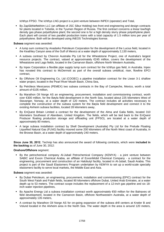Ichthys FPSO. The Ichthys LNG project is a joint venture between INPEX (operator) and Total,

 By ZapSibNeftekhim LLC (an affiliate of JSC Sibur Holding) two front end engineering and design contracts for plants located in Tobolsk, in the Tyumen Region of Russia. The first contract concerns a linear low/high density gas phase polyethylene plant; the second one is for a high density slurry phase polyethylene plant. Each plant will consist of two parallel production trains with a total capacity of 1.5 million tons per year of polyethylene. Both will be developed using INEOS Technologies license.

**Subsea** segment was awarded:

- A lump sum contract by Anadarko Petroleum Corporation for the development of the Lucius field, located in the Keathley Canyon area of the Gulf of Mexico at a water depth of approximately 2,130 meters,
- A subsea contract by Chevron Australia Pty Ltd for the Wheatstone Project, one of Australia's largest resource projects. The contract, valued at approximately €245 million, covers the development of the Wheatstone and Lago fields, located in the Carnarvon Basin, offshore North Western Australia,
- By Inpex Corporation a flexible pipe supply lump sum contract for the Ichthys gas field, in Australia. Inpex has novated this contract to McDermott as part of the overall subsea umbilical, riser, flowline EPCI contract,
- By Offshore Oil Engineering Co, Ltd (COOEC) a pipeline installation contract for the Liwan 3-1 shallow water project, located in the Pearl River Mouth Basin, China Sea,
- By Petróleos Mexicanos (PEMEX) two subsea contracts in the Bay of Campeche, Mexico, worth a total amount of €105 million,
- By Marathon Oil Norge AS an engineering, procurement, installation and commissioning contract, worth over €300 million, for the Bøyla field development in the North Sea, located about 225 kilometers West of Stavanger, Norway, at a water depth of 120 meters. The contract includes all activities necessary to complete the construction of the subsea system for the Bøyla field development and connect it to the existing Alvheim subsea facilities, located 28 kilometers away,
- By EnQuest Britain Limited a contract for the development of the Alma and Galia fields, located 310 kilometers Southeast of Aberdeen, United Kingdom. The fields, which will be tied back to the EnQuest Producer floating production storage and offloading unit (FPSO), are located at a water depth of approximately 80 meters,
- A large subsea installation contract by Shell Development (Australia) Pty Ltd for the Prelude Floating Liquefied Natural Gas (FLNG) facility moored some 200 kilometers off the North West coast of Australia, in the Browse Basin, at a water depth of approximately 240 meters.

**Since June 30, 2012**, Technip has also announced the award of following contracts, which were **included in the backlog** as of June 30, 2012:

### **Onshore/Offshore** segment:

 By the petrochemical company Al-Jubail Petrochemical Company (KEMYA) - a joint venture between SABIC and Exxon Chemical Arabia, an affiliate of ExxonMobil Chemical Company - a contract for the engineering, procurement and construction of an Halobutyl facility, located in Al-Jubail, Saudi Arabia. This project is part of the Saudi Elastomers Program undertaken by KEMYA to set up a world-scale specialty elastomers facility to serve local markets, the Middle East and Asia.

**Subsea** segment was awarded:

- By Dubai Petroleum, an engineering, procurement, installation and commissioning (EPIC) contract for the South West Fatah and Falah fields, located 90 kilometers offshore Dubai, United Arab Emirates, at a water depth up to 53 meters. The contract scope includes the replacement of a 12-inch gas pipeline and six 18 inch water injection pipelines,
- By Apache Energy Ltd a subsea installation contract worth approximately €50 million for the Balnaves oil field development, located in the Carnarvon Basin, offshore Northwestern Australia, at a water depth of approximately 135 meters,
- A contract by Marathon Oil Norge AS for on-going expansion of the subsea drill centers at Kneler B and Volund located in the Alvheim area in the North Sea. The water depth in the area is around 120 meters,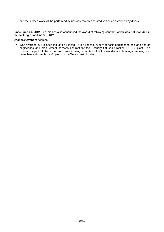and the subsea work will be performed by use of remotely-operated vehicules as well as by divers.

**Since June 30, 2012,** Technip has also announced the award of following contract, which **was not included in the backlog** as of June 30, 2012:

#### **Onshore/Offshore** segment:

 Was awarded by Reliance Industries Limited (RIL) a license, supply of basic engineering package and an engineering and procurement services contract for the Refinery Off-Gas Cracker (ROGC) plant. This contract is part of the expansion project being executed at RIL's world-scale Jamnagar refining and petrochemical complex in Gujarat, on the West coast of India.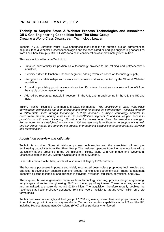### PRESS RELEASE – MAY 21, 2012

### **Technip to Acquire Stone & Webster Process Technologies and Associated Oil & Gas Engineering Capabilities from The Shaw Group**

Creating a World-Class Downstream Technology Leader

Technip (NYSE Euronext Paris: TEC) announced today that it has entered into an agreement to acquire Stone & Webster process technologies and the associated oil and gas engineering capabilities from The Shaw Group (NYSE: SHAW) for a cash consideration of approximately €225 million.

This transaction will enable Technip to:

- Enhance substantially its position as a technology provider to the refining and petrochemicals industries,
- Diversify further its Onshore/Offshore segment, adding revenues based on technology supply,
- Strengthen its relationships with clients and partners worldwide, backed by the Stone & Webster reputation,
- Expand in promising growth areas such as the US, where downstream markets will benefit from the supply of unconventional gas,
- Add skilled resources, notably in research in the US, and in engineering in the US, the UK and India.

Thierry Pilenko, Technip's Chairman and CEO, commented: *"The acquisition of these world-class downstream technologies and high-quality engineering resources fits perfectly with Technip's strategy to differentiate itself through technology. Technip becomes a major technology provider to downstream markets, adding value to its Onshore/Offshore segment. In addition, we gain access to promising growth areas, including US petrochemical investments driven by low-price shale gas. Furthermore, we are delighted to welcome 1,200 talented people to Technip, to support our growth and our clients' needs. We continue the process of broadening Technip's offering of products, services and technologies."* 

### *Acquisition overview and rationale*

Technip is acquiring Stone & Webster process technologies and the associated oil and gas engineering capabilities from The Shaw Group. The business operates from five main locations with a particularly strong presence in the US (Houston, Texas, along with Cambridge and Weymouth, Massachusetts), in the UK (Milton Keynes) and in India (Mumbai).

Other sites remain with Shaw, which will also retain all legacy EPC contracts.

The business possesses important and widely recognized best-in-class proprietary technologies and alliances in several key onshore domains around refining and petrochemicals. These complement Technip's existing technology and alliances in ethylene, hydrogen, fertilizers, polyolefins, and LNG.

The acquired business generates revenues from technology licensing, process design engineering, early-stage and front-end engineering, PMC and the supply of equipment. These revenues, pro forma and annualized, are currently around €220 million. The acquisition therefore roughly doubles the revenues that Technip already generates from this type of activity to around €400 million on a pro forma basis.

Technip will welcome a highly skilled group of 1,200 engineers, researchers and project teams, at a time of strong growth in our industry worldwide. Technip's execution capabilities in the US and the UK, including Project Management Consulting (PMC) will be particularly reinforced.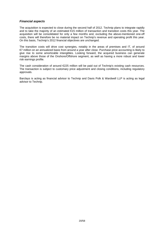### *Financial aspects*

The acquisition is expected to close during the second half of 2012. Technip plans to integrate rapidly and to take the majority of an estimated €15 million of transaction and transition costs this year. The acquisition will be consolidated for only a few months and, excluding the above-mentioned one-off costs, there will therefore be no material impact on Technip's revenue and operating profit this year. On this basis, Technip's 2012 financial objectives are unchanged.

The transition costs will drive cost synergies, notably in the areas of premises and IT, of around €7 million on an annualized basis from around a year after close. Purchase price accounting is likely to give rise to some amortizable intangibles. Looking forward, the acquired business can generate margins above those of the Onshore/Offshore segment, as well as having a more robust and lower risk earnings profile.

The cash consideration of around €225 million will be paid out of Technip's existing cash resources. The transaction is subject to customary price adjustment and closing conditions, including regulatory approvals.

Barclays is acting as financial advisor to Technip and Davis Polk & Wardwell LLP is acting as legal advisor to Technip.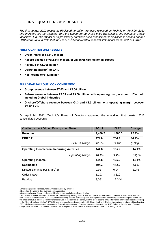### 2 – FIRST QUARTER 2012 RESULTS

*The first quarter 2012 results as disclosed hereafter are those released by Technip on April 26, 2012 and therefore are not restated from the temporary purchase price allocation of the company Global Industries, Ltd. The impact of its preliminary purchase price assessment is disclosed in second quarter 2012 results and in Note 2 of the condensed consolidated financial statements for the first half 2012.* 

### **FIRST QUARTER 2012 RESULTS**

- **Order intake of €3,310 million**
- **Record backlog of €12,344 million, of which €5,665 million in Subsea**
- **Revenue of €1,765 million**
- **Operating margin<sup>1</sup> of 9.4%**
- **Net income of €112 million**

### **FULL YEAR 2012 OUTLOOK CONFIRMED2**

- **Group revenue between €7.65 and €8.00 billion**
- **Subsea revenue between €3.35 and €3.50 billion, with operating margin around 15%, both including Global Industries**
- **Onshore/Offshore revenue between €4.3 and €4.5 billion, with operating margin between 6% and 7%**

On April 24, 2012, Technip's Board of Directors approved the unaudited first quarter 2012 consolidated accounts.

| $\epsilon$ million, except Diluted Earnings per Share | <b>1Q 11</b> | <b>1Q 12</b> | Change |
|-------------------------------------------------------|--------------|--------------|--------|
| <b>Revenue</b>                                        | 1,436.2      | 1,765.3      | 22.9%  |
| EBITDA <sup>3</sup>                                   | 179.0        | 204.7        | 14.4%  |
| <b>EBITDA Margin</b>                                  | 12.5%        | 11.6%        | (87)bp |
| <b>Operating Income from Recurring Activities</b>     | 144.8        | 165.2        | 14.1%  |
| <b>Operating Margin</b>                               | 10.1%        | 9.4%         | (72)bp |
| <b>Operating Income</b>                               | 144.8        | 165.2        | 14.1%  |
| <b>Net Income</b>                                     | 104.3        | 112.2        | 7.6%   |
| Diluted Earnings per Share <sup>4</sup> ( $\in$ )     | 0.92         | 0.94         | 3.2%   |
| Order Intake                                          | 1,293        | 3,310        |        |
| Backlog                                               | 9,081        | 12,344       |        |

<sup>1</sup> Operating income from recurring activities divided by revenue.

<sup>2</sup> Based on the year-to-date average exchange rates.

<sup>3</sup> Operating income from recurring activities before depreciation and amortization.

<sup>4</sup> As per IFRS, diluted earnings per share are calculated by dividing profit or loss attributable to the Parent Company's Shareholders, restated from financial interest related to dilutive potential ordinary shares, by the weighted average number of outstanding shares during the period, plus the effect of dilutive potential ordinary shares related to the convertible bonds, dilutive stock options and performance shares calculated according to the "Share Purchase Method" (IFRS 2), less treasury shares. In conformity with this method, anti-dilutive stock options are ignored in calculating EPS. Dilutive options are taken into account if the subscription price of the stock options plus the future IFRS 2 charge (i.e. the sum of annual charge to be recorded until the end of the stock option plan) is lower than the average market share price during the period.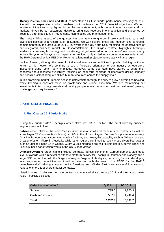**Thierry Pilenko, Chairman and CEO**, commented: "Our first quarter performance was very much in line with our expectations, which enables us to reiterate our 2012 financial objectives. We saw evidence of the trends highlighted in our February statement, with momentum across nearly all our markets, driven by our customers' desire to bring new reserves into production and supported by Technip's strong positions in key regions, technologies and market segments.

The most striking aspect of the quarter was our very strong order intake contributing to a well diversified backlog at a record level. In Subsea, we won several small and medium size contracts, complemented by the large Quad 204 EPIC award in the UK North Sea, reflecting the effectiveness of our integrated business model. In Onshore/Offshore, the Burgas contract highlights Technip's leadership in refining technology and our strategy to get involved in our customers' key projects early in their lifecycle. In Malaysia, our capacity to provide highly skilled local content was essential to win the RAPID petrochemical FEED for Petronas, a landmark project for future activity in the region.

Looking forward, although the timing for individual awards can be difficult to predict, bidding continues to run at high levels. We continue to see a favorable orientation of our industry as operators' investment plans remain very ambitious. Moreover, some operators have started to share their concerns about resource availability, focusing on near-term shortage of deepwater drilling capacity and possible lack of adequate skilled human resources across the supply chain.

In this promising market, Technip seeks to differentiate through its ability to grow a diversified backlog, whilst keeping a constant focus on profitability and project execution. We are maintaining our investments in technology, assets and notably people in key markets to meet our customers' growing challenges and requirements."

### **I. PORTFOLIO OF PROJECTS**

### **1. First Quarter 2012 Order Intake**

During first quarter 2012, Technip's order intake was €3,310 million. The breakdown by business segment was as follows:

**Subsea** order intake in the North Sea included several small and medium size contracts as well as some larger EPIC contracts such as Quad 204 in the UK and Åsgard Subsea Compression in Norway. Asia Pacific won several contracts, notably for S-lay and Heavy-lift capability such as Wheatstone and Greater Western Flank in Australia, while other regions continued to see various diversified awards such as Jubilee Phase 1A in Ghana, Guara & Lula Nordeste pre-salt flexible risers supply in Brazil and Lucius subsea construction works in the US Gulf of Mexico.

**Onshore/Offshore** order intake included contracts across continents. Europe demonstrated good level of awards with a renewal of offshore platform activity for Technip in Denmark and Norway and a large EPC contract to build the Burgas refinery in Bulgaria. In Malaysia, our strong focus in developing local engineering capabilities continued to bear fruit with the award of a FEED for the RAPID petrochemical & refining complex, while Americas and Middle East were successful in securing various onshore & offshore smaller contracts.

Listed in annex IV (b) are the main contracts announced since January 2012 and their approximate value if publicly disclosed.

| Order Intake ( $\notin$ million) | <b>1Q 2011</b> | <b>1Q 2012</b> |
|----------------------------------|----------------|----------------|
| Subsea                           | 735.6          | 1,860.3        |
| Onshore/Offshore                 | 557.2          | 1.449.4        |
| Total                            | 1,292.8        | 3,309.7        |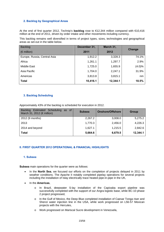### **2. Backlog by Geographical Areas**

At the end of first quarter 2012, Technip's **backlog** rose to €12,344 million compared with €10,416 million at the end of 2011, driven by order intake and other movements including currency.

This backlog remains well diversified in terms of project types, sizes, technologies and geographical areas as set-out in the table below.

| Backlog                      | December 31, | March 31, | Change |
|------------------------------|--------------|-----------|--------|
| $(\epsilon$ million)         | 2011         | 2012      |        |
| Europe, Russia, Central Asia | 1,912.2      | 3,328.3   | 74.1%  |
| Africa                       | 1,261.1      | 1,297.7   | 2.9%   |
| Middle East                  | 1,725.0      | 1,655.9   | (4.0)% |
| Asia Pacific                 | 1,704.0      | 2,247.1   | 31.9%  |
| Americas                     | 3,813.8      | 3,815.1   | nm     |
| <b>Total</b>                 | 10,416.1     | 12,344.1  | 18.5%  |

### **3. Backlog Scheduling**

Approximately 43% of the backlog is scheduled for execution in 2012.

| Estimated Scheduling as of<br><b>Backlog</b><br>March 31, 2012 ( $\notin$ million) | <b>Subsea</b> | <b>Onshore/Offshore</b> | <b>Group</b> |
|------------------------------------------------------------------------------------|---------------|-------------------------|--------------|
| 2012 (9 months)                                                                    | 2,267.2       | 3,008.0                 | 5,275.2      |
| 2013                                                                               | 1,770.3       | 2,456.0                 | 4,226.3      |
| 2014 and beyond                                                                    | 1,627.1       | 1,215.5                 | 2,842.6      |
| <b>Total</b>                                                                       | 5,664.6       | 6,679.5                 | 12,344.1     |

### **II. FIRST QUARTER 2012 OPERATIONAL & FINANCIAL HIGHLIGHTS**

### **1. Subsea**

**Subsea** main operations for the quarter were as follows:

- In the **North Sea**, we focused our efforts on the completion of projects delayed in 2011 by weather conditions. The Apache II notably completed pipelay operations for several projects including the installation of Islay electrically trace heated pipe-in-pipe in the UK,
- In the **Americas**,
	- o In Brazil, deepwater S-lay installation of the Capixaba export pipeline was successfully completed with the support of our Angra logistic base, while BC-10 phase 2 project progressed,
	- o In the Gulf of Mexico, the Deep Blue completed installation of Caesar Tonga riser and Shenzi water injection line in the USA, while work progressed on L56-57 Mexican projects with the Hercules,
	- o Work progressed on Mariscal Sucre development in Venezuela,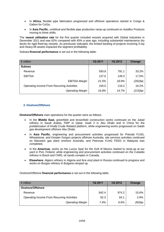- In **Africa**, flexible pipe fabrication progressed and offshore operations started in Congo & Gabon for CoGa,
- In **Asia Pacific**, umbilical and flexible pipe production ramp-up continued on Asiaflex Products moving to three shifts.

The **vessel utilization rate** for the first quarter included vessels acquired with Global Industries in December 2011 and was 62% compared with 65% a year ago, including substantial maintenance dry docks for rigid Reel-lay vessels. As previously indicated, the limited backlog of projects involving S-lay and Heavy-lift assets impacted the segment profitability.

Subsea **financial performance** is set out in the following table:

| $\epsilon$ million                                | 1Q 2011 | 1Q 2012 | Change  |
|---------------------------------------------------|---------|---------|---------|
| <b>Subsea</b>                                     |         |         |         |
| Revenue                                           | 593.8   | 791.1   | 33.2%   |
| <b>EBITDA</b>                                     | 127.6   | 149.3   | 17.0%   |
| <b>EBITDA Margin</b>                              | 21.5%   | 18.9%   | (262)bp |
| <b>Operating Income From Recurring Activities</b> | 100.0   | 116.2   | 16.2%   |
| <b>Operating Margin</b>                           | 16.8%   | 14.7%   | (215)bp |

### **2. Onshore/Offshore**

**Onshore/Offshore** main operations for the quarter were as follows:

- In the **Middle East,** greenfield and brownfield construction works continued on the Jubail refinery in Saudi Arabia, PMP in Qatar, Asab 3 in Abu Dhabi and in China for the prefabrication of Khafji Crude Related platform, while engineering works progressed on Satah gas development offshore Abu Dhabi,
- In **Asia Pacific**, engineering and procurement activities progressed for Prelude FLNG, Wheatstone, and Greater Gorgon projects offshore Australia, site services activities continued on Macedon gas plant onshore Australia, and Petronas FLNG FEED in Malaysia was completed,
- In the **Americas**, works on the Lucius Spar for the Gulf of Mexico started to ramp-up at our yard in Pori, Finland, while engineering and procurement activities continued on the Cubatão refinery in Brazil and CNRL oil sands complex in Canada,
- **Elsewhere**, Algiers refinery in Algeria and Ikra vinyl plant in Russia continued to progress and works on Burgas refinery in Bulgaria ramped up.

Onshore/Offshore **financial performance** is set out in the following table:

| $\epsilon$ million                         | 1Q 2011 | 1Q 2012 | Change |
|--------------------------------------------|---------|---------|--------|
| <b>Onshore/Offshore</b>                    |         |         |        |
| Revenue                                    | 842.4   | 974.2   | 15.6%  |
| Operating Income From Recurring Activities | 62.3    | 64.1    | 2.9%   |
| <b>Operating Margin</b>                    | $7.4\%$ | 6.6%    | (82)bp |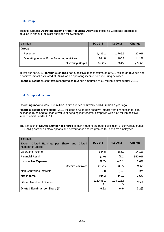### **3. Group**

Technip Group's **Operating Income From Recurring Activities** including Corporate charges as detailed in annex I (c) is set out in the following table:

| $\epsilon$ million                                | 1Q 2011 | 1Q 2012 | Change |
|---------------------------------------------------|---------|---------|--------|
| Group                                             |         |         |        |
| Revenue                                           | 1,436.2 | 1,765.3 | 22.9%  |
| <b>Operating Income From Recurring Activities</b> | 144.8   | 165.2   | 14.1%  |
| <b>Operating Margin</b>                           | 10.1%   | 9.4%    | (72)bp |

In first quarter 2012, **foreign exchange** had a positive impact estimated at €21 million on revenue and a positive impact estimated at €3 million on operating income from recurring activities.

**Financial result** on contracts recognized as revenue amounted to €3 million in first quarter 2012.

### **4. Group Net Income**

**Operating income** was €165 million in first quarter 2012 versus €145 million a year ago.

**Financial result** in first quarter 2012 included a €1 million negative impact from changes in foreign exchange rates and fair market value of hedging instruments, compared with a €7 million positive impact in first quarter 2011.

The variation in **Diluted Number of Shares** is mainly due to the potential dilution of convertible bonds (OCEANE) as well as stock options and performance shares granted to Technip's employees.

| $\epsilon$ million,                                                |                 |                 |        |
|--------------------------------------------------------------------|-----------------|-----------------|--------|
| Except Diluted Earnings per Share, and Diluted<br>Number of Shares | 1Q 2011         | 1Q 2012         | Change |
| Operating Income                                                   | 144.8           | 165.2           | 14.1%  |
| <b>Financial Result</b>                                            | (1.6)           | (7.2)           | 350.0% |
| Income Tax Expense                                                 | (39.7)          | (45.1)          | 13.6%  |
| <b>Effective Tax Rate</b>                                          | 27.7%           | 28.5%           | 82bp   |
| Non-Controlling Interests                                          | 0.8             | (0.7)           | nm     |
| <b>Net Income</b>                                                  | 104.3           | 112.2           | 7.6%   |
| Diluted Number of Shares                                           | 116,496,1<br>67 | 124,028,6<br>70 | 6.5%   |
| Diluted Earnings per Share $(\epsilon)$                            | 0.92            | 0.94            | 3.2%   |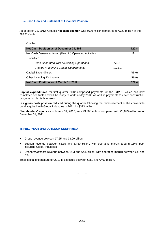### **5. Cash Flow and Statement of Financial Position**

As of March 31, 2012, Group's **net cash position** was €629 million compared to €721 million at the end of 2011.

€ million

| Net Cash Position as of December 31, 2011                | 720.8   |
|----------------------------------------------------------|---------|
| Net Cash Generated from / (Used in) Operating Activities | 54.1    |
| of which:                                                |         |
| Cash Generated from / (Used in) Operations               | 173.0   |
| Change in Working Capital Requirements                   | (118.9) |
| <b>Capital Expenditures</b>                              | (95.6)  |
| Other including FX Impacts                               | (49.9)  |
| Net Cash Position as of March 31, 2012                   | 629.4   |

**Capital expenditures** for first quarter 2012 comprised payments for the G1201, which has now completed sea trials and will be ready to work in May 2012, as well as payments to cover construction progress on plants & vessels.

Our **gross cash position** reduced during the quarter following the reimbursement of the convertible bond acquired with Global Industries in 2011 for \$323 million.

**Shareholders' equity** as of March 31, 2012, was €3,788 million compared with €3,673 million as of December 31, 2011.

### **III. FULL YEAR 2012 OUTLOOK CONFIRMED**

- Group revenue between €7.65 and €8.00 billion
- Subsea revenue between  $63.35$  and  $63.50$  billion, with operating margin around 15%, both including Global Industries
- Onshore/Offshore revenue between €4.3 and €4.5 billion, with operating margin between 6% and 7%

 $\circ$  $\circ$   $\circ$ 

Total capital expenditure for 2012 is expected between €350 and €400 million.

26/58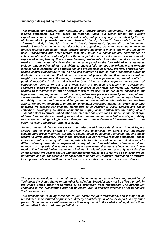**Cautionary note regarding forward-looking statements** 

*This presentation contains both historical and forward-looking statements. These forwardlooking statements are not based on historical facts, but rather reflect our current expectations concerning future results and events, and generally may be identified by the use of forward-looking words such as "believe", "aim", "expect", "anticipate", "intend", "foresee", "likely", "should", "planned", "may", "estimates", "potential" or other similar words. Similarly, statements that describe our objectives, plans or goals are or may be forward-looking statements. These forward-looking statements involve known and unknown risks, uncertainties and other factors that may cause our actual results, performance or achievements to differ materially from the anticipated results, performance or achievements expressed or implied by these forward-looking statements. Risks that could cause actual results to differ materially from the results anticipated in the forward-looking statements include, among other things: our ability to successfully continue to originate and execute large services contracts, and construction and project risks generally; the level of productionrelated capital expenditure in the oil and gas industry as well as other industries; currency fluctuations; interest rate fluctuations; raw material (especially steel) as well as maritime freight price fluctuations; the timing of development of energy resources; armed conflict or political instability in the Arabian-Persian Gulf, Africa or other regions; the strength of competition; control of costs and expenses; the reduced availability of governmentsponsored export financing; losses in one or more of our large contracts; U.S. legislation relating to investments in Iran or elsewhere where we seek to do business; changes in tax legislation, rules, regulation or enforcement; intensified price pressure by our competitors; severe weather conditions; our ability to successfully keep pace with technology changes; our ability to attract and retain qualified personnel; the evolution, interpretation and uniform application and enforcement of International Financial Reporting Standards (IFRS), according to which we prepare our financial statements as of January 1, 2005; political and social stability in developing countries; competition; supply chain bottlenecks; the ability of our subcontractors to attract skilled labor; the fact that our operations may cause the discharge of hazardous substances, leading to significant environmental remediation costs; our ability to manage and mitigate logistical challenges due to underdeveloped infrastructure in some countries where we are performing projects.* 

*Some of these risk factors are set forth and discussed in more detail in our Annual Report. Should one of these known or unknown risks materialize, or should our underlying assumptions prove incorrect, our future results could be adversely affected, causing these results to differ materially from those expressed in our forward-looking statements. These factors are not necessarily all of the important factors that could cause our actual results to differ materially from those expressed in any of our forward-looking statements. Other unknown or unpredictable factors also could have material adverse effects on our future results. The forward-looking statements included in this release are made only as of the date of this release. We cannot assure you that projected results or events will be achieved. We do not intend, and do not assume any obligation to update any industry information or forwardlooking information set forth in this release to reflect subsequent events or circumstances.* 

*\*\*\*\** 

*This presentation does not constitute an offer or invitation to purchase any securities of Technip in the United States or any other jurisdiction. Securities may not be offered or sold in the United States absent registration or an exemption from registration. The information contained in this presentation may not be relied upon in deciding whether or not to acquire Technip securities.* 

*This presentation is being furnished to you solely for your information, and it may not be reproduced, redistributed or published, directly or indirectly, in whole or in part, to any other person. Non-compliance with these restrictions may result in the violation of legal restrictions of the United States or of other jurisdictions.*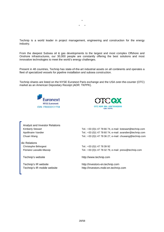Technip is a world leader in project management, engineering and construction for the energy industry.

industry.<br>From the deepest Subsea oil & gas developments to the largest and most complex Offshore and Onshore infrastructures, our 30,000 people are constantly offering the best solutions and most innovative technologies to meet the world's energy challenges.

Present in 48 countries, Technip has state-of-the-art industrial assets on all continents and operates a fleet of specialized vessels for pipeline installation and subsea construction.

Technip shares are listed on the NYSE Euronext Paris exchange and the USA over-the-counter (OTC) market as an American Depositary Receipt (ADR: TKPPK).





Analyst and Investor Relations Kimberly Stewart Apollin naire Vandier Chuan n Wang

blic Rel ations Christophe Bélorgeot Florian ne Lassalle-M Massip

Techn nip's website

Technip's website<br>Technip's IR website Technip's IR mobile website s<br>Tel.<br>Tel.<br>Tel.<br>Tel.<br>http<br>http<br>http<br>http Tel.: +3 33 (0)1 47 78 66 74, e-mail : kstewart@te echnip.com Tel.: +3 33 (0)1 47 78 60 74, e-mail : avandier@te echnip.com Tel.: +3 33 (0)1 47 78 36 27, e-mail : chuwang@te echnip.com

Tel.: +3 33 (0)1 47 78 39 92 Tel.: +3 33 (0)1 47 78 32 79, e-mail : press@techn nip.com

http://www.technip.com

http://i investors-en .technip.com http://investors-en.technip.com<br>http://investors.mobi-en.technip.com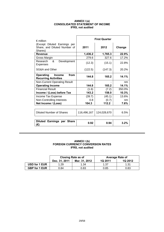### **ANNEX I (a) CONSOLIDATED STATEMENT OF INCOME IFRS, not audited**

| $\epsilon$ million                                                       | <b>First Quarter</b> |             |         |
|--------------------------------------------------------------------------|----------------------|-------------|---------|
| (Except Diluted Earnings per<br>Share, and Diluted Number of<br>Shares)  | 2011                 | 2012        | Change  |
| <b>Revenue</b>                                                           | 1,436.2              | 1,765.3     | 22.9%   |
| Gross Margin                                                             | 279.6                | 327.6       | 17.2%   |
| Research<br>&<br>Development<br><b>Expenses</b>                          | (12.3)               | (15.1)      | 22.8%   |
| SG&A and Other                                                           | (122.5)              | (147.3)     | 20.2%   |
| from<br><b>Operating</b><br><b>Income</b><br><b>Recurring Activities</b> | 144.8                | 165.2       | 14.1%   |
| <b>Non-Current Operating Result</b>                                      |                      |             | nm      |
| <b>Operating Income</b>                                                  | 144.8                | 165.2       | 14.1%   |
| <b>Financial Result</b>                                                  | (1.6)                | (7.2)       | 350.0%  |
| Income / (Loss) before Tax                                               | 143.2                | 158.0       | 10.3%   |
| Income Tax Expense                                                       | (39.7)               | (45.1)      | 13.6%   |
| Non-Controlling Interests                                                | 0.8                  | (0.7)       | nm      |
| Net Income / (Loss)                                                      | 104.3                | 112.2       | $7.6\%$ |
|                                                                          |                      |             |         |
| <b>Diluted Number of Shares</b>                                          | 116,496,167          | 124,028,670 | 6.5%    |
|                                                                          |                      |             |         |
| Diluted Earnings per Share<br>(€)                                        | 0.92                 | 0.94        | 3.2%    |

### **ANNEX I (b) FOREIGN CURRENCY CONVERSION RATES IFRS, not audited**

|                      | <b>Closing Rate as of</b> |               | <b>Average Rate of</b> |                |
|----------------------|---------------------------|---------------|------------------------|----------------|
|                      | Dec. 31, 2011             | Mar. 31, 2012 | <b>1Q 2011</b>         | <b>1Q 2012</b> |
| USD for 1 EUR        | 1.29                      | 1.34          | 1.37                   | 1.31           |
| <b>GBP for 1 EUR</b> | 0.84                      | 0.83          | 0.85                   | 0.83           |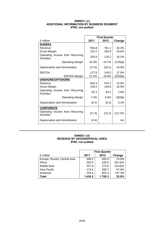### **ANNEX I (c) ADDITIONAL INFORMATION BY BUSINESS SEGMENT IFRS, not audited**

|                                               | <b>First Quarter</b> |        |            |
|-----------------------------------------------|----------------------|--------|------------|
| $\epsilon$ million                            | 2011                 | 2012   | Change     |
| <b>SUBSEA</b>                                 |                      |        |            |
| Revenue                                       | 593.8                | 791.1  | 33.2%      |
| Gross Margin                                  | 152.5                | 180.8  | 18.6%      |
| Operating Income from Recurring<br>Activities | 100.0                | 116.2  | 16.2%      |
| <b>Operating Margin</b>                       | 16.8%                | 14.7%  | (215)bp    |
| Depreciation and Amortization                 | (27.6)               | (33.1) | 19.9%      |
| <b>EBITDA</b>                                 | 127.6                | 149.3  | 17.0%      |
| <b>EBITDA Margin</b>                          | 21.5%                | 18.9%  | (262)bp    |
| <b>ONSHORE/OFFSHORE</b>                       |                      |        |            |
| Revenue                                       | 842.4                | 974.2  | 15.6%      |
| Gross Margin                                  | 126.5                | 146.8  | 16.0%      |
| Operating Income from Recurring<br>Activities | 62.3                 | 64.1   | 2.9%       |
| <b>Operating Margin</b>                       | 7.4%                 | 6.6%   | (82)bp     |
| Depreciation and Amortization                 | (6.2)                | (6.4)  | 3.2%       |
| <b>CORPORATE</b>                              |                      |        |            |
| Operating Income from Recurring<br>Activities | (17.5)               | (15.1) | $(13.7)\%$ |
| Depreciation and Amortization                 | (0.4)                |        | nm         |

### **ANNEX I (d) REVENUE BY GEOGRAPHICAL AREA IFRS, not audited**

|                              |         | <b>First Quarter</b> |            |
|------------------------------|---------|----------------------|------------|
| $\epsilon$ million           | 2011    | 2012                 | Change     |
| Europe, Russia, Central Asia | 398.0   | 493.0                | 23.9%      |
| Africa                       | 283.5   | 106.6                | $(62.4)\%$ |
| Middle East                  | 337.6   | 273.6                | $(19.0)\%$ |
| Asia Pacific                 | 173.5   | 289.7                | 67.0%      |
| Americas                     | 243.6   | 602.4                | 147.3%     |
| Total                        | 1,436.2 | 1,765.3              | 22.9%      |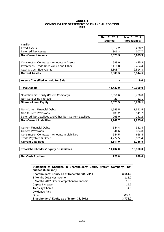### **ANNEX II CONSOLIDATED STATEMENT OF FINANCIAL POSITION IFRS**

|                                                            | Dec. 31, 2011<br>(audited) | Mar. 31, 2012<br>(not audited) |
|------------------------------------------------------------|----------------------------|--------------------------------|
| $\epsilon$ million                                         |                            |                                |
| <b>Fixed Assets</b>                                        |                            |                                |
| <b>Deferred Tax Assets</b>                                 | 5,317.2<br>306.3           | 5,298.2<br>307.7               |
| <b>Non-Current Assets</b>                                  | 5,623.5                    |                                |
|                                                            |                            | 5,605.9                        |
| Construction Contracts - Amounts in Assets                 | 588.0                      | 425.8                          |
| Inventories, Trade Receivables and Other                   | 2,411.8                    | 2,404.4                        |
| Cash & Cash Equivalents                                    | 2,808.7                    | 2,514.3                        |
| <b>Current Assets</b>                                      | 5,808.5                    | 5,344.5                        |
|                                                            |                            |                                |
| <b>Assets Classified as Held for Sale</b>                  |                            | 9.6                            |
| <b>Total Assets</b>                                        | 11,432.0                   | 10,960.0                       |
|                                                            |                            |                                |
| Shareholders' Equity (Parent Company)                      | 3,651.6                    | 3,776.0                        |
| Non-Controlling Interests                                  | 21.7                       | 12.1                           |
| <b>Shareholders' Equity</b>                                | 3,673.3                    | 3,788.1                        |
| <b>Non-Current Financial Debts</b>                         | 1,543.5                    | 1,552.5                        |
| <b>Non-Current Provisions</b>                              | 139.2                      | 141.7                          |
| Deferred Tax Liabilities and Other Non-Current Liabilities | 265.0                      | 241.2                          |
| <b>Non-Current Liabilities</b>                             | 1,947.7                    | 1,935.4                        |
|                                                            |                            |                                |
| <b>Current Financial Debts</b>                             | 544.4                      | 332.4                          |
| <b>Current Provisions</b>                                  | 344.6                      | 334.3                          |
| Construction Contracts - Amounts in Liabilities            | 644.5                      | 668.4                          |
| Trade Payables & Other                                     | 4,277.5                    | 3,901.4                        |
| <b>Current Liabilities</b>                                 | 5,811.0                    | 5,236.5                        |
| <b>Total Shareholders' Equity &amp; Liabilities</b>        | 11,432.0                   | 10,960.0                       |
|                                                            |                            |                                |
| <b>Net Cash Position</b>                                   | 720.8                      | 629.4                          |

| Statement of Changes in Shareholders' Equity (Parent Company), not<br>audited ( $\notin$ million): |         |
|----------------------------------------------------------------------------------------------------|---------|
| Shareholders' Equity as of December 31, 2011                                                       | 3,651.6 |
| 3 Months 2012 Net Income                                                                           | 112.2   |
| 3 Months 2012 Other Comprehensive Income                                                           | 15.5    |
| Capital Increase                                                                                   | 19.7    |
| <b>Treasury Shares</b>                                                                             | 4.6     |
| Dividends Paid                                                                                     |         |
| Other                                                                                              | (27.6)  |
| Shareholders' Equity as of March 31, 2012                                                          | 3,776.0 |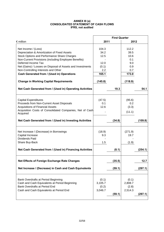### **ANNEX III (a) CONSOLIDATED STATEMENT OF CASH FLOWS IFRS, not audited**

|                                                                                                                                                                                                                                                                                                       | <b>First Quarter</b>                                       |                  |                                                   |                 |
|-------------------------------------------------------------------------------------------------------------------------------------------------------------------------------------------------------------------------------------------------------------------------------------------------------|------------------------------------------------------------|------------------|---------------------------------------------------|-----------------|
| $\epsilon$ million                                                                                                                                                                                                                                                                                    | 2011                                                       |                  | 2012                                              |                 |
| Net Income / (Loss)<br>Depreciation & Amortization of Fixed Assets<br>Stock Options and Performance Share Charges<br>Non-Current Provisions (including Employee Benefits)<br>Deferred Income Tax<br>Net (Gains) / Losses on Disposal of Assets and Investments<br>Non-Controlling Interests and Other | 104.3<br>34.2<br>12.5<br>12.0<br>(0.1)<br>$2.2\phantom{0}$ |                  | 112.2<br>39.5<br>10.6<br>0.1<br>9.0<br>0.9<br>0.7 |                 |
| Cash Generated from / (Used in) Operations                                                                                                                                                                                                                                                            | 165.1                                                      |                  | 173.0                                             |                 |
| <b>Change in Working Capital Requirements</b>                                                                                                                                                                                                                                                         | (145.8)                                                    |                  | (118.9)                                           |                 |
| Net Cash Generated from / (Used in) Operating Activities                                                                                                                                                                                                                                              |                                                            | 19.3             |                                                   | 54.1            |
| <b>Capital Expenditures</b><br>Proceeds from Non-Current Asset Disposals<br><b>Acquisitions of Financial Assets</b><br>Acquisition Costs of Consolidated Companies, Net of Cash<br>Acquired                                                                                                           | (47.5)<br>0.1<br>12.6                                      |                  | (95.6)<br>0.2<br>(3.3)<br>(11.1)                  |                 |
| Net Cash Generated from / (Used in) Investing Activities                                                                                                                                                                                                                                              |                                                            | (34.8)           |                                                   | (109.8)         |
| Net Increase / (Decrease) in Borrowings<br>Capital Increase<br><b>Dividends Paid</b><br>Share Buy-Back                                                                                                                                                                                                | (18.9)<br>9.3<br>1.5                                       |                  | (271.9)<br>19.7<br>(1.9)                          |                 |
| Net Cash Generated from / (Used in) Financing Activities                                                                                                                                                                                                                                              |                                                            | (8.1)            |                                                   | (254.1)         |
| Net Effects of Foreign Exchange Rate Changes<br>Net Increase / (Decrease) in Cash and Cash Equivalents                                                                                                                                                                                                |                                                            | (35.5)<br>(59.1) |                                                   | 12.7<br>(297.1) |
| Bank Overdrafts at Period Beginning<br>Cash and Cash Equivalents at Period Beginning<br>Bank Overdrafts at Period End<br>Cash and Cash Equivalents at Period End                                                                                                                                      | (0.1)<br>3,105.7<br>(0.2)<br>3,046.7                       | (59.1)           | (0.1)<br>2,808.7<br>(2.8)<br>2,514.3              | (297.1)         |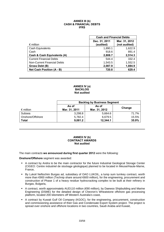#### **ANNEX III (b) CASH & FINANCIAL DEBTS IFRS**

|                                    | <b>Cash and Financial Debts</b> |               |  |  |
|------------------------------------|---------------------------------|---------------|--|--|
|                                    | Dec. 31, 2011                   | Mar. 31, 2012 |  |  |
| $\epsilon$ million                 | (audited)                       | (not audited) |  |  |
| Cash Equivalents                   | 1,890.1                         | 1,622.9       |  |  |
| Cash                               | 918.6                           | 891.4         |  |  |
| Cash & Cash Equivalents (A)        | 2,808.7                         | 2,514.3       |  |  |
| <b>Current Financial Debts</b>     | 544.4                           | 332.4         |  |  |
| <b>Non-Current Financial Debts</b> | 1,543.5                         | 1,552.5       |  |  |
| Gross Debt (B)                     | 2,087.9                         | 1,884.9       |  |  |
| Net Cash Position (A - B)          | 720.8                           | 629.4         |  |  |

#### **ANNEX IV (a) BACKLOG Not audited**

|                    |               | <b>Backlog by Business Segment</b> |        |  |  |  |  |
|--------------------|---------------|------------------------------------|--------|--|--|--|--|
|                    | As of         |                                    |        |  |  |  |  |
| $\epsilon$ million | Mar. 31, 2011 | Mar. 31, 2012                      | Change |  |  |  |  |
| Subsea             | 3,298.8       | 5,664.6                            | 71.7%  |  |  |  |  |
| Onshore/Offshore   | 5,782.4       | 6,679.5                            | 15.5%  |  |  |  |  |
| Total              | 9,081.2       | 12,344.1                           | 35.9%  |  |  |  |  |

### **ANNEX IV (b) CONTRACT AWARDS Not audited**

The main contracts **we announced during first quarter 2012** were the following:

**Onshore/Offshore** segment was awarded:

- A contract by Andra to be the main contractor for the future Industrial Geological Storage Center (CIGEO: Centre industriel de stockage géologique) planned to be located in Meuse/Haute-Marne, France,
- By Lukoil Neftochim Burgas ad, subsidiary of OAO LUKOIL, a lump sum turnkey contract, worth more than €900 million (Technip share around €600 million), for the engineering, procurement and construction of Phase 1 of a heavy residue hydrocracking complex to be built at their refinery in Burgas, Bulgaria,
- A contract, worth approximately AUD110 million (€90 million), by Daewoo Shipbuilding and Marine Engineering (DSME) for the detailed design of Chevron's Wheatstone offshore gas processing platform, located 200 kilometers off Western Australia's coast,
- A contract by Kuwait Gulf Oil Company (KGOC), for the engineering, procurement, construction and commissioning assistance of their Gas and Condensate Export System project. The project is spread over onshore and offshore locations in two countries, Saudi Arabia and Kuwait,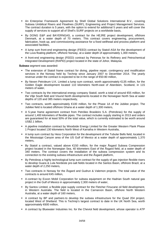- An Enterprise Framework Agreement by Shell Global Solutions International B.V., covering Subsea Umbilical Risers and Flowlines (SURF), Engineering and Project Management Services. The contract duration is 5 years, with the option to extend for additional 5 years and will cover the supply of services to support all of Shell's SURF projects on a worldwide basis,
- By DONG E&P and BAYERNGAS, a contract for the HEJRE project development, offshore Denmark, at a water depth of 70 meters. This contract covers engineering, procurement, fabrication, hook-up, and commissioning assistance for a fixed wellhead and process platform and associated facilities,
- A lump sum front-end engineering design (FEED) contract by Statoil ASA for the development of the Luva floating platform, offshore Norway, at a water depth of approximately 1,300 meters,
- A front-end engineering design (FEED) contract by Petronas for its Refinery and Petrochemical Integrated Development (RAPID) project located in the state of Johor, Malaysia.

### **Subsea** segment was awarded:

- The extension of Statoil frame contract for diving, pipeline repair, contingency and modification services in the Norway held by Technip since January 2007 to December 2014. The yearly revenue under the contract is expected to be in the range of €50-80 million,
- By Nexen Petroleum U.K. Limited a lump sum contract, worth approximately €135 million, for the Golden Eagle development located 110 kilometers North-east of Aberdeen, Scotland, in 115 meters of water,
- Two contracts by the international energy company Statoil, worth a total of around €55 million, for the Vilje South field and Visund North developments located in the Norwegian North Sea at water depths of 120 and 385 meters respectively,
- Two contracts, worth approximately €100 million, for the Phase 1A of the Jubilee project. The Jubilee field is located offshore Ghana at a water depth of 1,300 meters,
- A 5-year frame agreement contract from Petróleo Brasileiro S.A. (Petrobras) for the supply of around 1,400 kilometers of flexible pipes. The contract includes supply starting in 2013 and orders are guaranteed for at least 50% of the total value, which is currently estimated to be worth around US\$2.1 billion,
- A pipeline installation contract by Woodside Energy Limited for the Greater Western Flank Phase 1 Project located 130 kilometers North West of Karratha in Western Australia,
- A lump sum contract by Hess Corporation for the development of the Tubular Bells field, located in the Mississippi Canyon area of the US Gulf of Mexico at a water depth of approximately 1,370 meters,
- By Statoil a contract, valued above €150 million, for the major Åsgard Subsea Compression project located in the Norwegian Sea, 40 kilometers East of the Åsgard field, at a water depth of 340 meters. The contract covers the installation of the subsea compression system and its connection to the existing subsea infrastructure and the Åsgard platform,
- By Petrobras a highly technological lump sum contract for the supply of gas injection flexible risers to develop Guara & Lula Nordeste pre-salt fields located in the Santos Basin, offshore Brazil, at a water depth of 2,250 meters,
- Two contracts in Norway for the Åsgard and Gudrun & Valemon projects. The total value of the contracts is around €45 million,
- A contract by Exxon Mobil Corporation for subsea equipment on the Hadrian South natural gas project in the Gulf of Mexico in approximately 2,300 meters of water,
- By Santos Limited, a flexible pipe supply contract for the Fletcher Finucane oil field development, in Western Australia. The field is located in the Carnarvon Basin, offshore North Western Australia, at a water depth of 160 meters,
- A contract by BP and partners to develop the subsea infrastructure for the Quad 204 project, located West of Shetland. This is Technip's largest contract to date in the UK North Sea, worth approximately €600 million,
- A contract by Bluewater Industries Inc. for the Cheviot field development, whose operator is ATP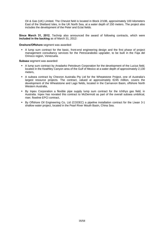Oil & Gas (UK) Limited. The Cheviot field is located in Block 2/10B, approximately 100 kilometers East of the Shetland Isles, in the UK North Sea, at a water depth of 150 meters. The project also includes the development of the Peter and Eclat fields.

**Since March 31, 2012**, Technip also announced the award of following contracts, which were **included in the backlog** as of March 31, 2012:

### **Onshore/Offshore** segment was awarded:

 A lump sum contract for the basic, front-end engineering design and the first phase of project management consultancy services for the Petrocarabobo upgrader, to be built in the Faja del Orinoco region, Venezuela.

**Subsea** segment was awarded:

- A lump sum contract by Anadarko Petroleum Corporation for the development of the Lucius field, located in the Keathley Canyon area of the Gulf of Mexico at a water depth of approximately 2,130 meters,
- A subsea contract by Chevron Australia Pty Ltd for the Wheatstone Project, one of Australia's largest resource projects. The contract, valued at approximately  $\epsilon$ 245 million, covers the development of the Wheatstone and Lago fields, located in the Carnarvon Basin, offshore North Western Australia,
- By Inpex Corporation a flexible pipe supply lump sum contract for the Ichthys gas field, in Australia. Inpex has novated this contract to McDermott as part of the overall subsea umbilical, riser, flowline EPCI contract,
- By Offshore Oil Engineering Co, Ltd (COOEC) a pipeline installation contract for the Liwan 3-1 shallow water project, located in the Pearl River Mouth Basin, China Sea.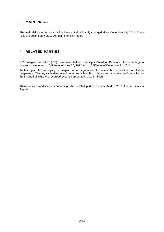### 3 – MAIN RISKS

The main risks the Group is facing have not significantly changed since December 31, 2011. These risks are described in 2011 Annual Financial Report.

### 4 – RELATED PARTIES

IFP Énergies nouvelles (IFP) is represented on Technip's Board of Directors. Its percentage of ownership amounted to 2.54% as of June 30, 2012 and to 2.55% as of December 31, 2011.

Technip paid IFP a royalty in respect of an agreement for research cooperation on offshore deepwaters. This royalty is determined under arm's length conditions and amounted to €1.9 million for the first half of 2012, the recorded expense amounted to €1.6 million.

There was no modification concerning other related parties as described in 2011 Annual Financial Report.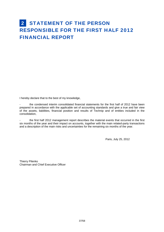# **2 STATEMENT OF THE PERSON** RESPONSIBLE FOR THE FIRST HALF 2012 FINANCIAL REPORT

I hereby declare that to the best of my knowledge,

the condensed interim consolidated financial statements for the first half of 2012 have been prepared in accordance with the applicable set of accounting standards and give a true and fair view of the assets, liabilities, financial position and results of Technip and of entities included in the consolidation,

the first half 2012 management report describes the material events that occurred in the first six months of the year and their impact on accounts, together with the main related-party transactions and a description of the main risks and uncertainties for the remaining six months of the year.

Paris, July 25, 2012

Thierry Pilenko Chairman and Chief Executive Officer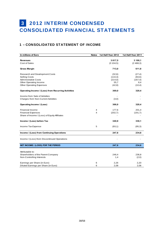# 3 2012 INTERIM CONDENSED CONSOLIDATED FINANCIAL STATEMENTS

### 1 – CONSOLIDATED STATEMENT OF INCOME

| In millions of Euro                                 | <b>Notes</b> | 1st Half-Year 2012 | 1st Half-Year 2011 |
|-----------------------------------------------------|--------------|--------------------|--------------------|
|                                                     |              |                    |                    |
| <b>Revenues</b>                                     |              | 3817,5             | 3 100,1            |
| Cost of Sales                                       |              | (3104,5)           | (2488,3)           |
| <b>Gross Margin</b>                                 |              | 713,0              | 611,8              |
| Research and Development Costs                      |              | (32,6)             | (27, 4)            |
| <b>Selling Costs</b>                                |              | (110,3)            | (94, 6)            |
| <b>Administrative Costs</b>                         |              | (214,0)            | (167, 4)           |
| Other Operating Income                              |              | 55,7               | 8,4                |
| <b>Other Operating Expenses</b>                     |              | (42,8)             | (10,4)             |
| Operating Income / (Loss) from Recurring Activities |              | 369,0              | 320,4              |
| Income from Sale of Activities                      |              |                    |                    |
| <b>Charges from Non-Current Activities</b>          |              | (3,0)              |                    |
| Operating Income / (Loss)                           |              | 366,0              | 320,4              |
| Financial Income                                    | 4            | 177,6              | 201,4              |
| <b>Financial Expenses</b>                           | 4            | (202,7)            | (191,7)            |
| Share of Income / (Loss) of Equity Affiliates       |              |                    |                    |
| Income / (Loss) before Tax                          |              | 340,9              | 330,1              |
| Income Tax Expense                                  | 5            | (93,1)             | (95,3)             |
| Income / (Loss) from Continuing Operations          |              | 247,8              | 234,8              |
| Income / (Loss) from Discontinued Operations        |              |                    |                    |
| NET INCOME / (LOSS) FOR THE PERIOD                  |              | 247,8              | 234,8              |
| Attributable to:                                    |              |                    |                    |
| Shareholders of the Parent Company                  |              | 246,4              | 236,8              |
| Non-Controlling Interests                           |              | 1,4                | (2,0)              |
|                                                     |              |                    |                    |
| Earnings per Share (in Euro)                        | 6            | 2,26               | 2,20               |
| Diluted Earnings per Share (in Euro)                | 6            | 2,08               | 2,06               |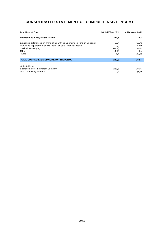### 2 – CONSOLIDATED STATEMENT OF COMPREHENSIVE INCOME

| In millions of Euro                                                        | 1st Half-Year 2012 | 1st Half-Year 2011 |
|----------------------------------------------------------------------------|--------------------|--------------------|
| Net Income / (Loss) for the Period                                         | 247,8              | 234,8              |
| Exchange Differences on Translating Entities Operating in Foreign Currency | 53,7               | (55,7)             |
| Fair Value Adjustement on Available-For-Sale Financial Assets              | 0,9                | 63,0               |
| Cash Flow Hedging                                                          | (14,2)             | 60,4               |
| Other                                                                      | (0,1)              | 0,1                |
| Taxes                                                                      | 1,4                | (20,1)             |
| TOTAL COMPREHENSIVE INCOME FOR THE PERIOD                                  | 289,5              | 282,5              |
| Attributable to:                                                           |                    |                    |
| Shareholders of the Parent Company                                         | 288,6              | 285,6              |
| Non-Controlling Interests                                                  | 0,9                | (3,1)              |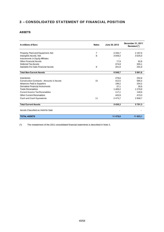### 3 – CONSOLIDATED STATEMENT OF FINANCIAL POSITION

### **ASSETS**

| In millions of Euro                        | <b>Notes</b> | June 30, 2012 | December 31, 2011<br>Restated (*) |
|--------------------------------------------|--------------|---------------|-----------------------------------|
| Property, Plant and Equipment, Net         | 7            | 2 3 4 6 , 7   | 2 1 8 7 , 0                       |
| Intangible Assets, Net                     | 8            | 3 0 48,2      | 3 0 2 5 , 0                       |
| Investments in Equity Affiliates           |              |               |                                   |
| Other Financial Assets                     |              | 77,9          | 92,8                              |
| Deferred Tax Assets                        |              | 374,9         | 355,1                             |
| Available-For-Sale Financial Assets        | 9            | 201.0         | 201,9                             |
| <b>Total Non-Current Assets</b>            |              | 6 048,7       | 5 8 6 1 , 8                       |
| Inventories                                |              | 278,6         | 254,6                             |
| Construction Contracts - Amounts in Assets | 10           | 412,5         | 585,4                             |
| Advances Paid to Suppliers                 |              | 198,2         | 204,2                             |
| Derivative Financial Instruments           |              | 37.1          | 35,6                              |
| <b>Trade Receivables</b>                   |              | 1469,2        | 1 2 7 9 , 9                       |
| Current Income Tax Receivables             |              | 117,1         | 149,6                             |
| <b>Other Current Receivables</b>           |              | 443,9         | 473,3                             |
| Cash and Cash Equivalents                  | 11           | 2473,7        | 2808,7                            |
| <b>Total Current Assets</b>                |              | 5 4 3 0 , 3   | 5791,3                            |
| Assets Classified as Held for Sale         |              |               |                                   |
| <b>TOTAL ASSETS</b>                        |              | 11 479,0      | 11 653.1                          |

(\*) The restatement of the 2011 consolidated financial statements is described in Note 2.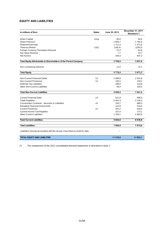### **EQUITY AND LIABILITIES**

| In millions of Euro                                                         | <b>Notes</b> | June 30, 2012 | December 31, 2011<br>Restated (*) |
|-----------------------------------------------------------------------------|--------------|---------------|-----------------------------------|
| <b>Share Capital</b>                                                        | 12(a)        | 85,0          | 84,6                              |
| <b>Share Premium</b>                                                        |              | 1806,7        | 1784,0                            |
| <b>Retained Earnings</b>                                                    |              | 1 7 1 1 , 4   | 1 3 7 1 , 6                       |
| <b>Treasury Shares</b>                                                      | 12(c)        | (146, 4)      | (109,3)                           |
| Foreign Currency Translation Reserve                                        |              | 57,2          | (6,3)                             |
| Fair Value Reserve                                                          |              | 7,7           | 19,7                              |
| Net Income                                                                  |              | 246,4         | 507,3                             |
| Total Equity Attributable to Shareholders of the Parent Company             |              | 3768,0        | 3651,6                            |
| Non-Controlling Interests                                                   |              | 11,5          | 21,7                              |
| <b>Total Equity</b>                                                         |              | 3779,5        | 3673,3                            |
|                                                                             |              |               |                                   |
| <b>Non-Current Financial Debts</b>                                          | 13           | 1699,9        | 1552,9                            |
| <b>Non-Current Provisions</b>                                               | 14           | 150,2         | 139,2                             |
| <b>Deferred Tax Liabilities</b>                                             |              | 189,0         | 143,6                             |
| Other Non-Current Liabilities                                               |              | 56,4          | 105,5                             |
| <b>Total Non-Current Liabilities</b>                                        |              | 2 0 9 5 , 5   | 1941,2                            |
| <b>Current Financial Debt</b>                                               | 13           | 521,8         | 598,0                             |
| <b>Trade Payables</b>                                                       |              | 2 0 9 1 , 3   | 2 1 3 6 . 3                       |
| <b>Construction Contracts - Amounts in Liabilities</b>                      | 10           | 763,7         | 698,3                             |
| Derivative Financial Instruments                                            |              | 122,9         | 104,0                             |
| <b>Current Provisions</b>                                                   | 14           | 297,2         | 345,0                             |
| <b>Current Income Tax Payables</b>                                          |              | 107,0         | 173,1                             |
| <b>Other Current Liabilities</b>                                            |              | 1700,1        | 1983,9                            |
| <b>Total Current Liabilities</b>                                            |              | 5604,0        | 6038,6                            |
| <b>Total Liabilities</b>                                                    |              | 7699,5        | 7979.8                            |
| Liabilities Directly Associated with the Assets Classified as Held for Sale |              |               |                                   |
| <b>TOTAL EQUITY AND LIABILITIES</b>                                         |              | 11 479,0      | 11 653.1                          |

(\*) The restatement of the 2011 consolidated financial statements is described in Note 2.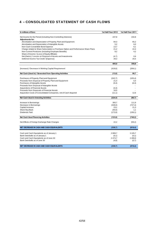### 4 – CONSOLIDATED STATEMENT OF CASH FLOWS

| In millions of Euro                                                                                                  | 1st Half-Year 2012 | 1st Half-Year 2011 |
|----------------------------------------------------------------------------------------------------------------------|--------------------|--------------------|
|                                                                                                                      |                    |                    |
| Net Income for the Period (including Non-Controlling Interests)                                                      | 247,8              | 234,8              |
| <b>Adjustments for:</b>                                                                                              |                    | 65,2               |
| Amortization and Depreciation of Property, Plant and Equipment<br>Amortization and Depreciation of Intangible Assets | 84,3<br>5,2        | 6,0                |
| Non-Cash Convertible Bond Expense                                                                                    | 13.7               | 6,1                |
| Charge related to Share Subscription or Purchase Option and Performance Share Plans                                  | 21,2               | 22.4               |
| Non-Current Provisions (including Employee Benefits)                                                                 | 9,2                | 4,2                |
| Share of Income / (Loss) of Equity Affiliates                                                                        |                    |                    |
| Net (Gains) / Losses on Disposal of Assets and Investments                                                           | (4,7)              | 0.6                |
| Deferred Income Tax Credit / (Expense)                                                                               | 28,3               | 20,5               |
|                                                                                                                      | 405,0              | 359,8              |
|                                                                                                                      |                    |                    |
| (Increase) / Decrease in Working Capital Requirement                                                                 | (418, 6)           | (269,1)            |
| Net Cash (Used in) / Generated from Operating Activities                                                             | (13, 6)            | 90,7               |
|                                                                                                                      |                    |                    |
| Purchases of Property, Plant and Equipment                                                                           | (242,7)            | (105, 4)           |
| Proceeds from Disposal of Property, Plant and Equipment                                                              | 21,4               | 0,4                |
| Purchases of Intangible Assets                                                                                       | (5,3)              | (6,3)              |
| Proceeds from Disposal of Intangible Assets<br>Acquisitions of Financial Assets                                      |                    |                    |
|                                                                                                                      | (3,3)              |                    |
| Proceeds from Disposals of Financial Assets<br>Acquisition Costs of Consolidated Companies, net of Cash Acquired     | 16,5<br>(11,1)     | 12,6               |
|                                                                                                                      |                    |                    |
| Net Cash Used in Investing Activities                                                                                | (224, 5)           | (98,7)             |
|                                                                                                                      |                    |                    |
| Increase in Borrowings                                                                                               | 393,7              | 111.9              |
| Decrease in Borrowings                                                                                               | (328, 0)           | (727, 4)           |
| Capital Increase                                                                                                     | 23,1               | 21,3               |
| Share Buy-Back                                                                                                       | (40, 0)            | 1,1                |
| Dividends Paid                                                                                                       | (172,6)            | (156, 1)           |
| <b>Net Cash Used Financing Activities</b>                                                                            | (123, 8)           | (749,2)            |
| Net Effects of Foreign Exchange Rate Changes                                                                         | 22.2               | (59,2)             |
|                                                                                                                      |                    |                    |
| NET DECREASE IN CASH AND CASH EQUIVALENTS                                                                            | (339,7)            | (816, 4)           |
| Cash and Cash Equivalents as of January 1                                                                            | 2808,7             | 3 1 0 5 , 7        |
| Bank Overdrafts as of January 1                                                                                      | (0,1)              | (0,1)              |
| Cash and Cash Equivalents as of June 30                                                                              | 2 473,7            | 2 2 8 9 , 9        |
| Bank Overdrafts as of June 30                                                                                        | (4,8)              | (0,7)              |
| NET DECREASE IN CASH AND CASH EQUIVALENTS                                                                            | (339,7)            |                    |
|                                                                                                                      |                    | (816, 4)           |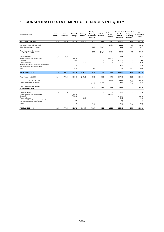### 5 – CONSOLIDATED STATEMENT OF CHANGES IN EQUITY

| In millions of Euro                                                            | Share<br>Capital | Share<br>Premium | Retained<br>Earnings                         | Treasury<br><b>Shares</b> | Foreign<br>Currency<br><b>Translation</b><br>Reserve | <b>Fair Value</b><br><b>Reserves</b> | Net Income -<br>Parent<br>Company | Equity -<br>Parent<br>Company | <b>Shareholders Shareholders</b><br>Equity - Non-<br>Controlling<br>Interests | Total<br>Shareholders<br><b>Equity</b> |
|--------------------------------------------------------------------------------|------------------|------------------|----------------------------------------------|---------------------------|------------------------------------------------------|--------------------------------------|-----------------------------------|-------------------------------|-------------------------------------------------------------------------------|----------------------------------------|
| As of January 1st, 2012                                                        | 84,6             | 1784.0           | 1 371,6                                      | (109, 3)                  | (6, 3)                                               | 19,7                                 | 507.3                             | 3651.6                        | 21,7                                                                          | 3673,3                                 |
| Net Income of 1st half year 2012<br>Other Comprehensive Income                 |                  |                  |                                              |                           | $\overline{a}$<br>54,2                               | ä,<br>(12,0)                         | 246,4                             | 246,4<br>42,2                 | 1,4<br>(0,5)                                                                  | 247,8<br>41,7                          |
| <b>Total Comprehensive Income</b><br>of 1st Half Year 2012                     |                  |                  |                                              | $\overline{\phantom{a}}$  | 54,2                                                 | (12, 0)                              | 246,4                             | 288,6                         | 0,9                                                                           | 289,5                                  |
| Capital Increase                                                               | 0,4              | 22,7             |                                              |                           |                                                      |                                      |                                   | 23,1                          |                                                                               | 23,1                                   |
| Appropriation of Net Income 2011<br><b>Dividends</b><br><b>Treasury Shares</b> |                  | ä,<br>÷          | 507,3<br>(172.6)<br>$\overline{\phantom{a}}$ | (37,1)                    |                                                      |                                      | (507, 3)<br>٠                     | (172, 6)<br>(37, 1)           | ٠                                                                             | (172, 6)<br>(37, 1)                    |
| Valuation of Share Subscription or Purchase<br>Options and Performance Shares  |                  |                  | 12,8                                         |                           |                                                      |                                      |                                   | 12,8                          | i,                                                                            | 12,8                                   |
| Other                                                                          |                  | ٠                | (7,7)                                        |                           | 9,3                                                  |                                      |                                   | 1,6                           | (11,1)                                                                        | (9, 5)                                 |
| AS OF JUNE 30, 2012                                                            | 85,0             | 1806,7           | 1711,4                                       | (146, 4)                  | 57,2                                                 | 7,7                                  | 246.4                             | 3768,0                        | 11,5                                                                          | 3779,5                                 |
| As of January 1st, 2011                                                        | 84,1             | 1750,1           | 1013,6                                       | (137, 9)                  | 11,5                                                 | 40,8                                 | 417,6                             | 3 1 7 9 , 8                   | 22,3                                                                          | 3 202,1                                |
| Net Income of 1st Half Year 2011<br>Other Comprehensive Income                 |                  |                  |                                              |                           | (54, 6)                                              | 103,4                                | 236,8                             | 236,8<br>48,8                 | (2,0)<br>(1,1)                                                                | 234,8<br>47,7                          |
| <b>Total Comprehensive Income</b><br>of 1st Half Year 2011                     |                  |                  |                                              |                           | (54, 6)                                              | 103,4                                | 236,8                             | 285,6                         | (3,1)                                                                         | 282,5                                  |
| Capital Increase<br>Appropriation of Net Income 2010                           | 0,3              | 21,0<br>٠        | ٠<br>417,6                                   |                           |                                                      | ä,<br>٠                              | (417, 6)                          | 21,3<br>$\overline{a}$        | ٠<br>٠                                                                        | 21,3<br>$\overline{\phantom{a}}$       |
| Dividends                                                                      |                  | ٠                | (156, 1)                                     |                           |                                                      |                                      |                                   | (156, 1)                      | ٠                                                                             | (156, 1)                               |
| <b>Treasury Shares</b><br>Valuation of Share Subscription or Purchase          |                  | ä,               | $\overline{\phantom{a}}$                     | 13,2                      |                                                      |                                      |                                   | 13,2                          | ٠                                                                             | 13,2                                   |
| Options and Performance Shares                                                 |                  | ä,               | 7,9                                          |                           |                                                      |                                      |                                   | 7,9                           | ٠                                                                             | 7,9                                    |
| Other                                                                          |                  |                  | 4,2                                          | ٠                         | (5,1)                                                |                                      |                                   | (0, 9)                        | (3,8)                                                                         | (4,7)                                  |
| AS OF JUNE 30, 2011                                                            | 84,4             | 1771,1           | 1 287,2                                      | (124,7)                   | (48,2)                                               | 144,2                                | 236,8                             | 3 3 5 0 , 8                   | 15,4                                                                          | 3 3 6 6, 2                             |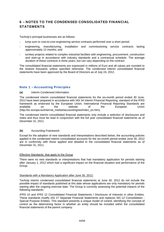### 6 – NOTES TO THE CONDENSED CONSOLIDATED FINANCIAL STATEMENTS

Technip's principal businesses are as follows:

- lump sum or cost-to-cost engineering service contracts performed over a short period;
- engineering, manufacturing, installation and commissioning service contracts lasting approximately 12 months; and
- turnkey projects related to complex industrial facilities with engineering, procurement, construction and start-up in accordance with industry standards and a contractual schedule. The average duration of these contracts is three years, but can vary depending on the contract.

The consolidated financial statements are expressed in millions of Euro and all values are rounded to the nearest thousand, unless specified otherwise. The condensed interim consolidated financial statements have been approved by the Board of Directors as of July 24, 2012.

### Note 1 – Accounting Principles

### **(a)** Interim Condensed Information

The condensed interim consolidated financial statements for the six-month period ended 30 June, 2012 have been prepared in accordance with IAS 34 Interim Financial Reporting, standard of the IFRS framework as endorsed by the European Union. International Financial Reporting Standards are available on the website of the European Union (http://ec.europa.eu/internal\_market/accounting/ias/index\_en.htm).

The condensed interim consolidated financial statements only include a selection of disclosures and notes and thus must be read in conjunction with the full year consolidated financial statements as of December 31, 2011.

### **(b)** Accounting Framework

Except for the adoption of new standards and interpretations described below, the accounting policies applied in the condensed interim consolidated accounts for the six-month period ended June 30, 2012 are in conformity with those applied and detailed in the consolidated financial statements as of December 31, 2011.

### Effective Standards, that apply to the Group

There were no new standards or interpretations that had mandatory application for periods starting after January 1, 2012 which had a significant impact on the financial situation and performance of the Group.

### Standards with a Mandatory Application after June 30, 2012:

Technip interim condensed consolidated financial statements at June 30, 2012 do not include the possible impact of standards published at this date whose applications are only mandatory for periods starting after the ongoing exercise date. The Group is currently assessing the potential impacts of the following standards:

IFRS 10 and IFRS 12 Consolidated Financial Statements / Disclosure of Interests in other Entities. These standards modify IAS 27 Separate Financial Statements and replaces SIC-12 Consolidation - Special Purpose Entities. This standard presents a unique model of control, identifying the concept of control as the determining factor in whether an entity should be included within the consolidated financial statements of the parent company.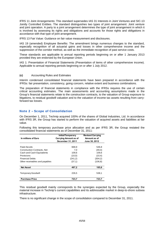IFRS 11 Joint Arrangements: This standard supersedes IAS 31 Interests in Joint Ventures and SIC-13 Jointly Controlled Entities. The standard distinguishes two types of joint arrangement: Joint venture and joint operation. A party to a joint arrangement determines the type of joint arrangement in which it is involved by assessing its rights and obligations and accounts for those rights and obligations in accordance with that type of joint arrangement.

IFRS 13 Fair Value: Guidance on fair value measurement and disclosures.

IAS 19 (amended) Employee Benefits: The amendment brings numerous changes to the standard, especially recognition of all actuarial gains and losses in other comprehensive income and the suppression of the corridor method, as well as the immediate recognition of past service costs.

These standards are applicable to annual reporting periods beginning on or after 1 January 2013 provided they are endorsed by the European Union.

IAS 1: Presentation of Financial Statements (Presentation of items of other comprehensive income). Applicable to annual reporting periods beginning on or after 1 July 2012.

### **(c)** Accounting Rules and Estimates

Interim condensed consolidated financial statements have been prepared in accordance with the IFRSs: fair presentation, consistency, going concern, relative extent and business combinations.

The preparation of financial statements in compliance with the IFRSs requires the use of certain critical accounting estimates. The main assessments and accounting assumptions made in the Group's financial statements relate to the construction contracts, to the valuation of Group exposure to litigations, to residual goodwill valuation and to the valuation of income tax assets resulting from carryforward tax losses.

### Note 2 – Scope of Consolidation

On December 1, 2011, Technip acquired 100% of the shares of Global Industries, Ltd. In accordance with IFRS 3R, the Group has started to perform the valuation of acquired assets and liabilities at fair value.

Following this temporary purchase price allocation and as per IFRS 3R, the Group restated the consolidated financial statements as of December 31, 2011:

|                                    | Initial/Temporary            | <b>Revised Carrying</b> |
|------------------------------------|------------------------------|-------------------------|
| In millions of Euro                | <b>Carrying Amount as of</b> | Amount as of            |
|                                    | December 31, 2011            | June 30, 2012           |
|                                    |                              |                         |
| <b>Fixed Assets</b>                | 668.9                        | 546.8                   |
| <b>Construction Contracts, Net</b> | 7,0                          | (49,4)                  |
| Cash and Cash Equivalents          | 109,6                        | 109,6                   |
| Provisions                         | (10,0)                       | (10,4)                  |
| <b>Financial Debts</b>             | (241,2)                      | (304,2)                 |
| Other receivables and payables     | (37,1)                       | (106.8)                 |
|                                    |                              |                         |
| <b>Net Asset</b>                   | 497.2                        | 185,6                   |
|                                    |                              |                         |
| <b>Temporary Goodwill</b>          | 226.5                        | 538.1                   |
|                                    |                              |                         |
| <b>Purchase Price</b>              | 723,7                        | 723,7                   |

This residual goodwill mainly corresponds to the synergies expected by the Group, especially the material increase in Technip's current capabilities and its addressable market in deep-to-shore subsea infrastructure.

There is no significant change in the scope of consolidation compared to December 31, 2011.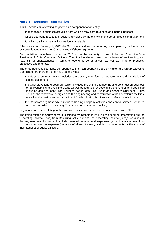### Note 3 – Segment Information

IFRS 8 defines an operating segment as a component of an entity:

- that engages in business activities from which it may earn revenues and incur expenses;
- whose operating results are regularly reviewed by the entity's chief operating decision maker; and
- for which distinct financial information is available.

Effective as from January 1, 2012, the Group has modified the reporting of its operating performances, by consolidating the former Onshore and Offshore segments.

Both activities have been pooled in 2011 under the authority of one of the two Executive Vice Presidents & Chief Operating Officers. They involve shared resources in terms of engineering, and have similar characteristics in terms of economic performances, as well as range of products, processes and markets.

The three business segments as reported to the main operating decision-maker, the Group Executive Committee, are therefore organized as following:

- the Subsea segment, which includes the design, manufacture, procurement and installation of subsea equipment;
- the Onshore/Offshore segment, which includes the entire engineering and construction business for petrochemical and refining plants as well as facilities for developing onshore oil and gas fields (including gas treatment units, liquefied natural gas (LNG) units and onshore pipelines). It also includes the renewable energies and the engineering and construction of non-petroleum facilities; as well as the design and construction of fixed or floating facilities and surface installations; and
- the Corporate segment, which includes holding company activities and central services rendered to Group subsidiaries, including IT services and reinsurance activity.

Segment information relating to the statement of income is prepared in accordance with IFRS.

The items related to segment result disclosed by Technip in its business segment information are the "Operating Income/(Loss) from Recurring Activities" and the "Operating Income/(Loss)". As a result, the segment result does not include financial income and expenses (except financial result on contracts), income tax expense (because of shared treasury and tax management), or the share of income/(loss) of equity affiliates.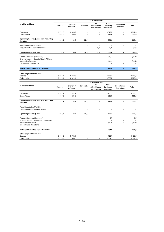| 1st Half-Year 2012                                                                                                                     |                      |                              |                          |                                                    |                                   |                                          |                       |
|----------------------------------------------------------------------------------------------------------------------------------------|----------------------|------------------------------|--------------------------|----------------------------------------------------|-----------------------------------|------------------------------------------|-----------------------|
| In millions of Euro                                                                                                                    | Subsea               | Onshore /<br><b>Offshore</b> | Corporate                | <b>Not</b><br>Allocable and<br><b>Eliminations</b> | Total<br>Continuing<br>Operations | <b>Discontinued</b><br><b>Operations</b> | Total                 |
| Revenues<br>Gross Margin                                                                                                               | 1772,3<br>407,6      | 2 0 4 5 , 2<br>305,4         |                          |                                                    | 3817,5<br>713,0                   |                                          | 3817,5<br>713,0       |
| Operating Income / (Loss) from Recurring<br><b>Activities</b>                                                                          | 261,9                | 139,7                        | (32, 6)                  | $\overline{a}$                                     | 369,0                             | $\overline{a}$                           | 369,0                 |
| <b>Result from Sale of Activities</b><br><b>Result from Non-Current Activities</b>                                                     |                      | ÷                            | $\overline{a}$           | $\overline{a}$<br>(3,0)                            | (3,0)                             | $\overline{a}$                           | (3,0)                 |
| Operating Income / (Loss)                                                                                                              | 261,9                | 139,7                        | (32, 6)                  | (3,0)                                              | 366,0                             | $\blacksquare$                           | 366,0                 |
| Financial Income / (Expenses)<br>Share of Income / (Loss) of Equity Affiliates<br>Income Tax Expense<br><b>Discontinued Operations</b> |                      |                              |                          |                                                    | (25,1)<br>(93,1)                  | $\overline{a}$                           | (25,1)<br>(93,1)      |
| NET INCOME / (LOSS) FOR THE PERIOD                                                                                                     |                      |                              |                          |                                                    | 247,8                             | L.                                       | 247,8                 |
| <b>Other Segment Information</b><br>Backlog<br>Order Intake                                                                            | 5 963,1<br>3 196,1   | 6760,6<br>2629,4             | ٠                        |                                                    | 12723,7<br>5825,5                 | $\overline{\phantom{a}}$                 | 12723,7<br>5825,5     |
|                                                                                                                                        |                      |                              |                          | 1st Half-Year 2011                                 |                                   |                                          |                       |
| In millions of Euro                                                                                                                    | Subsea               | Onshore /<br><b>Offshore</b> | Corporate                | <b>Not</b><br>Allocable and<br>Eliminations        | Total<br>Continuing<br>Operations | <b>Discontinued</b><br><b>Operations</b> | Total                 |
| Revenues<br>Gross Margin                                                                                                               | 1 2 5 3 , 5<br>327,3 | 1846,6<br>284,5              | $\overline{\phantom{a}}$ | $\overline{\phantom{a}}$                           | 3 100,1<br>611,8                  |                                          | 3 100.1<br>611,8      |
| Operating Income / (Loss) from Recurring<br><b>Activities</b>                                                                          | 211,9                | 138,7                        | (30,2)                   | $\overline{\phantom{a}}$                           | 320,4                             | $\blacksquare$                           | 320,4                 |
| <b>Result from Sale of Activities</b><br><b>Result from Non-Current Activities</b>                                                     |                      |                              |                          |                                                    |                                   |                                          |                       |
| Operating Income / (Loss)                                                                                                              | 211,9                | 138,7                        | (30,2)                   | $\tilde{\phantom{a}}$                              | 320,4                             | $\blacksquare$                           | 320,4                 |
| Financial Income / (Expenses)<br>Share of Income / (Loss) of Equity Affiliates<br>Income Tax Expense<br><b>Discontinued Operations</b> |                      |                              |                          |                                                    | 9,7<br>(95,3)                     | $\overline{a}$<br>$\overline{a}$         | 9,7<br>(95,3)         |
| NET INCOME / (LOSS) FOR THE PERIOD                                                                                                     |                      |                              |                          |                                                    | 234,8                             | ä,                                       | 234,8                 |
| <b>Other Segment Information</b><br>Backlog<br>Order Intake                                                                            | 3 630,0<br>1753,7    | 5782,7<br>1 630,6            |                          |                                                    | 9412,7<br>3 3 8 4 , 3             |                                          | 9412,7<br>3 3 8 4 , 3 |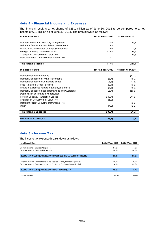### Note 4 – Financial Income and Expenses

The financial result is a net charge of €25.1 million as of June 30, 2012 to be compared to a net income of €9.7 million as of June 30, 2011. The breakdown is as follows:

| In millions of Euro                                 | 1st Half-Year 2012 | 1st Half-Year 2011 |
|-----------------------------------------------------|--------------------|--------------------|
|                                                     |                    |                    |
| Interest Income from Treasury Management            | 31,5               | 29,7               |
| Dividends from Non-Consolidated Investments         | 3,4                |                    |
| Financial Income related to Employee Benefits       | 4,6                | 2,5                |
| Foreign Currency Translation Gains                  | 136,4              | 141,6              |
| Changes in Derivative Fair Value, Net               |                    | 27,6               |
| Inefficient Part of Derivative Instruments, Net     | 1,7                |                    |
| <b>Total Financial Income</b>                       | 177,6              | 201,4              |
| In millions of Euro                                 | 1st Half-Year 2012 | 1st Half-Year 2011 |
| Interest Expenses on Bonds                          |                    | (12,2)             |
| Interest Expenses on Private Placements             | (5,7)              | (5,1)              |
| Interest Expenses on Convertible Bonds              | (15,8)             | (7,5)              |
| <b>Fees Related to Credit Facilities</b>            | (2,4)              | (0,9)              |
| Financial Expenses related to Employee Benefits     | (7,5)              | (5,9)              |
| Interest Expenses on Bank Borrowings and Overdrafts | (16,7)             | (10,8)             |
| Depreciation on Financial Assets, Net               |                    |                    |
| <b>Foreign Currency Translation Losses</b>          | (148,7)            | (144, 0)           |
| Changes in Derivative Fair Value, Net               | (1,9)              |                    |
| Inefficient Part of Derivative Instruments, Net     |                    | (3,2)              |
| Other                                               | (4,0)              | (2,1)              |
| <b>Total Financial Expenses</b>                     | (202,7)            | (191,7)            |
| <b>NET FINANCIAL RESULT</b>                         | (25,1)             | 9,7                |

### Note 5 – Income Tax

The income tax expense breaks down as follows:

| In millions of Euro                                                     | 1st Half-Year 2012 | 1st Half-Year 2011 |
|-------------------------------------------------------------------------|--------------------|--------------------|
|                                                                         |                    |                    |
| Current Income Tax Credit/(Expense)                                     | (64, 8)            | (74, 8)            |
| Deferred Income Tax Credit/(Expense)                                    | (28,3)             | (20,5)             |
| INCOME TAX CREDIT / (EXPENSE) AS RECOGNIZED IN STATEMENT OF INCOME      | (93,1)             | (95,3)             |
| Deferred Income Tax related to Items Booked Directly to Opening Equity  | (15,1)             | 18,8               |
|                                                                         |                    |                    |
| Deferred Income Tax related to Items Booked to Equity during the Period | (4,1)              | (22,5)             |
| <b>INCOME TAX CREDIT / (EXPENSE) AS REPORTED IN EQUITY</b>              | (19,2)             | (3,7)              |
| Income Tax rate                                                         | 27.3%              | 28.9%              |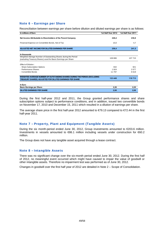### Note 6 – Earnings per Share

Reconciliation between earnings per share before dilution and diluted earnings per share is as follows:

| In millions of Euro                                                                                                                    | 1st Half-Year 2012 | 1st Half-Year 2011 |
|----------------------------------------------------------------------------------------------------------------------------------------|--------------------|--------------------|
| Net Income Attributable to Shareholders of the Parent Company                                                                          | 246,4              | 236,8              |
| Financial Expense on Convertible Bonds, Net of Tax                                                                                     | 10,0               | 4,7                |
| ADJUSTED NET INCOME FOR DILUTED EARNINGS PER SHARE                                                                                     | 256,4              | 241,5              |
| In thousands                                                                                                                           |                    |                    |
| Weighted Average Number of Outstanding Shares during the Period<br>(excluding Treasury Shares) used for Basic Earnings per Share       | 108886             | 107 715            |
| Effect of Dilution:                                                                                                                    |                    |                    |
| - Share Subscription Options                                                                                                           | 842                | 921                |
| - Performance Shares                                                                                                                   | 1924               | 2077               |
| - Convertible Bonds                                                                                                                    | 11797              | 6619               |
| WEIGHTED AVERAGE NUMBER OF OUTSTANDING SHARES DURING THE PERIOD (EXCLUDING<br>TREASURY SHARES) ADJUSTED FOR DILUTED EARNINGS PER SHARE | 123 449            | 110 713            |
| In Euro                                                                                                                                |                    |                    |
| <b>Basic Earnings per Share</b>                                                                                                        | 2,26               | 2,20               |
| <b>DILUTED EARNINGS PER SHARE</b>                                                                                                      | 2,08               | 2,06               |

During the first half-year 2012 and 2011, the Group granted performance shares and share subscription options subject to performance conditions, and in addition, issued two convertible bonds on November 17, 2010 and December 15, 2011 which resulted in a dilution of earnings per share.

The average share price in the first half-year 2012 amounted to  $\epsilon$ 79.13 compared to  $\epsilon$ 72.44 in the first half-year 2011.

### Note 7 – Property, Plant and Equipment (Tangible Assets)

During the six month-period ended June 30, 2012, Group investments amounted to €203.6 million. Investments in vessels amounted to €86.1 million including vessels under construction for €60.2 million.

The Group does not have any tangible asset acquired through a lease contract.

### Note 8 – Intangible Assets

There was no significant change over the six-month period ended June 30, 2012. During the first half of 2012, no meaningful event occurred which might have caused to impair the value of goodwill or other intangible assets. Therefore no impairment test was performed as of June 30, 2012.

Changes in goodwill over the first half year of 2012 are detailed in Note 2 – Scope of Consolidation.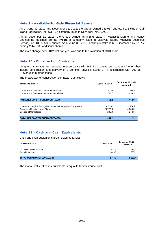### Note 9 – Available-For-Sale Financial Assets

As of June 30, 2012 and December 31, 2011, the Group owned 789,067 shares, i.e. 5.5%, of Gulf Island Fabrication, Inc. (GIFI), a company listed in New York (NASDAQ).

As of December 31, 2011, the Group owned an 8.35% stake in Malaysia Marine and Heavy Engineering Holdings Berhad (MHB), a company listed in Malaysia (Bursa Malaysia Securities Berhad), i.e. 133,555,000 shares. As of June 30, 2012, Technip's stake in MHB increased by 0.15%, namely 2,445,000 additional shares.

The main change over 2012 first half year was due to the valuation of MHB share.

### Note 10 – Construction Contracts

Long-term contracts are recorded in accordance with IAS 11 "Construction contracts" when they include construction and delivery of a complex physical asset, or in accordance with IAS 18 "Revenues" in other cases.

The breakdown of construction contracts is as follows:

| In millions of Euro                                                                                                    | June 30, 2012                 | December 31, 2011<br>restated   |  |
|------------------------------------------------------------------------------------------------------------------------|-------------------------------|---------------------------------|--|
| Construction Contracts - Amounts in Assets<br><b>Construction Contracts - Amounts in Liabilities</b>                   | 412.5<br>(763,7)              | 585,4<br>(698,3)                |  |
| TOTAL NET CONSTRUCTION CONTRACTS                                                                                       | (351,2)                       | (112,9)                         |  |
| Costs and Margins Recognized at the Percentage of Completion<br>Payments Received from Clients<br>Losses at Completion | 6610.3<br>(6722.5)<br>(239,0) | 4 9 66,7<br>(4835,3)<br>(244,3) |  |
| <b>TOTAL NET CONSTRUCTION CONTRACTS</b>                                                                                | (351,2)                       | (112.9)                         |  |

### Note 11 – Cash and Cash Equivalents

Cash and cash equivalents break down as follows:

| In millions of Euro                          | June 30, 2012    | December 31, 2011<br>restated |  |
|----------------------------------------------|------------------|-------------------------------|--|
| Cash at Bank and in Hand<br>Cash Equivalents | 826.8<br>1 646.9 | 918,6<br>1890.1               |  |
| TOTAL CASH AND CASH EQUIVALENTS              | 2 4 7 3 , 7      | 2808,7                        |  |

The market value of cash equivalents is equal to their historical cost.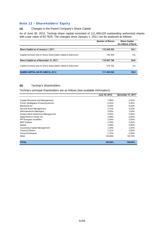### Note 12 – Shareholders' Equity

### **(a)** Changes in the Parent Company's Share Capital

As of June 30, 2012, Technip share capital consisted of 111,458,520 outstanding authorized shares with a par value of €0.7625. The changes since January 1, 2011 can be analyzed as follows:

|                                                              | <b>Number of Shares</b> | <b>Share Capital</b><br>(In millions of Euro) |  |
|--------------------------------------------------------------|-------------------------|-----------------------------------------------|--|
| Share Capital as of January 1, 2011                          | 110 249 352             | 84,1                                          |  |
| Capital Increase due to Share Subscription Options Exercised | 738 406                 | 0,5                                           |  |
| Share Capital as of December 31, 2011                        | 110 987 758             | 84,6                                          |  |
| Capital Increase due to Share Subscription Options Exercised | 470 762                 | 0,4                                           |  |
| SHARE CAPITAL AS OF JUNE 30, 2012                            | 111 458 520             | 85,0                                          |  |

### **(b)** Technip's Shareholders

Technip's principal shareholders are as follows (last available information):

|                                    | June 30, 2012 | December 31, 2011 |
|------------------------------------|---------------|-------------------|
|                                    |               |                   |
| Capital Research and Management    | 7,88%         | 5,25%             |
| Fonds Stratégique d'Investissement | 5,32%         | 5,35%             |
| Blackrock Inc.                     | 5,00%         | 6,20%             |
| Amundi Asset Management            | 3,72%         | 3,20%             |
| AXA Investment Managers            | 3,50%         | 1,50%             |
| Norges Bank Investment Management  | 3,05%         | 2,50%             |
| Oppenheimer Funds Inc.             | 2,89%         | 2,90%             |
| IFP Énergies nouvelles             | 2,54%         | 2,55%             |
| <b>BNP Paribas</b>                 | 2,36%         | 2,35%             |
| Natixis                            | 1,69%         | 3,00%             |
| Causeway Capital Management        | 1,43%         | 1,45%             |
| <b>Treasury Shares</b>             | 2,31%         | 2,00%             |
| <b>Group Employees</b>             | 1,75%         | 2,00%             |
| Other                              | 56,56%        | 59,75%            |
| <b>TOTAL</b>                       | 100,00%       | 100,00%           |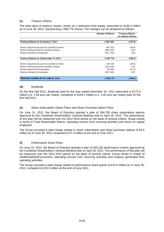### **(c)** Treasury Shares

The total value of treasury shares, shown as a deduction from equity, amounted to  $\epsilon$ 146.4 million as of June 30, 2012, representing 2,588,776 shares. The changes can be analyzed as follows:

|                                                | <b>Number of Shares</b> | <b>Treasury Shares</b><br>(In millions of Euro) |  |
|------------------------------------------------|-------------------------|-------------------------------------------------|--|
| Treasury Shares as of January 1, 2011          | 2907461                 | (137,9)                                         |  |
|                                                |                         |                                                 |  |
| Shares Acquired pursuant to Liquidity Contract | 957 023                 | (64, 5)                                         |  |
| Shares Sold pursuant to Liquidity Contract     | (950 023)               | 64,1                                            |  |
| Shares Granted to Employees                    | (671 743)               | 29,0                                            |  |
| Treasury Shares as of December 31, 2011        | 2 242 718               | (109, 3)                                        |  |
| Shares Acquired pursuant to Liquidity Contract | 302 426                 | (23,0)                                          |  |
| Shares Sold pursuant to Liquidity Contract     | (312 426)               | 23,4                                            |  |
| <b>Shares Acquired for Employees</b>           | 753 600                 | (57,2)                                          |  |
| Shares Granted to Employees                    | (397 542)               | 19,7                                            |  |
| TREASURY SHARES AS OF JUNE 30, 2012            | 2588776                 | (146, 4)                                        |  |

### **(d)** Dividends

On the first half 2012, dividends paid for the year ended December 31, 2011 amounted to €172.6 million (i.e. 1.58 euro per share), compared to €156.1 million (i.e. 1.45 euro per share) paid on the first half 2011.

### **(e)** Share Subscription Option Plans and Share Purchase Option Plans

On June 15, 2012, the Board of Directors granted a plan of 284,700 share subscription options approved by the Combined Shareholders' General Meeting held on April 26, 2012. The performance of this plan will be measured over the 2012-2014 period on the basis of several criteria: Group results in terms of Total Shareholder Return, operating income from recurring activities and return on capital employed.

The Group recorded a total charge related to share subscription and share purchase options of €5.6 million as of June 30, 2012 compared to €7.0 million at the end of June 2011.

### **(f)** Performance Share Plans

On June 15, 2012, the Board of Directors granted a plan of 430,150 performance shares approved by the Combined Shareholders' General Meeting held on April 26, 2012. The performance of this plan will be measured over the 2012-2014 period on the basis of several criteria: Group results in matter of Health/Safety/Environment, operating income from recurring activities and treasury generated from operating activities.

The Group recorded a total charge related to performance share grants of €15.6 million as of June 30, 2012, compared to €15.5 million at the end of June 2011.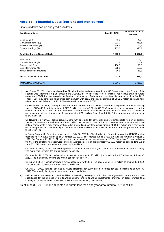### Note 13 – Financial Debts (current and non-current)

Financial debts can be analyzed as follows:

| In millions of Euro                      | June 30, 2012 | December 31, 2011<br>restated |  |
|------------------------------------------|---------------|-------------------------------|--|
|                                          |               |                               |  |
| Bond Issue (1)                           | 46,3          | 45,7                          |  |
| Convertible Bonds (2)                    | 931,7         | 916,1                         |  |
| Private Placements (3)                   | 516,9         | 197,4                         |  |
| Bank Borrowings (4)                      | 205,0         | 393,7                         |  |
| <b>Total Non-Current Financial Debts</b> | 1699,9        | 1 552,9                       |  |
|                                          |               |                               |  |
| Bond Issues (1)                          | 3,1           | 3,0                           |  |
| Convertible Bond (2)                     |               | 251,2                         |  |
| <b>Commercial Papers</b>                 | 150,0         | 170,0                         |  |
| Bank Borrowings (4)                      | 352,2         | 158,5                         |  |
| <b>Accrued Interests Payables</b>        | 16,5          | 15,3                          |  |
| <b>Total Current Financial Debts</b>     | 521,8         | 598,0                         |  |
| <b>TOTAL FINANCIAL DEBTS</b>             | 2 2 2 1 , 7   | 2 150,9                       |  |

- (1) As of June 30, 2012, the bonds issued by Global Industries and guaranteed by the US Government under Title XI of the Federal Ship Financing Program, amounted to USD61.2 million (recorded for €49.4 million), net of issue charges. A total amount of USD57.4 million (recorded for €46.3 million) was classified as non-current financial debts as of June 30, 2012. These 7.71% p.a. bonds are reimbursed semi-annually with equal principal installments of USD2.0 million each and have a final maturity of February 15, 2025. The effective interest rate is 3.70%.
- (2) On December 15, 2011, Technip issued a bond with an option for conversion and/or exchangeable for new or existing shares (OCEANE) for a total amount of €497.6 million. As per IAS 32, the OCEANE convertible bond is recognized in two distinct components: a debt component recorded at amortized cost for an initial amount of €420.4 million and a conversion option component recorded in equity for an amount of €73.1 million. As of June 30, 2012, the debt component amounted to €428.2 million.

On November 17, 2010, Technip issued a bond with an option for conversion and/or exchangeable for new or existing shares (OCEANE) for a total amount of €550 million. As per IAS 32, the OCEANE convertible bond is recognized in two distinct components: a debt component recorded at amortized cost for an initial amount of €480.9 million and a conversion option component recorded in equity for an amount of €63.3 million. As of June 30, 2012, the debt component amounted to €501.6 million.

A Senior Convertible Debenture was issued on July 27, 2007 by Global Industries for a total amount of USD325 million (recognized for €251.2 million as of December 31, 2011). The interest rate is 2.75% p.a. and the maturity is August 1, 2027. On January 11, 2012, Global Industries reimbursed a principal amount of USD322.6 million (corresponding to 99.3% of the outstanding debentures) and paid accrued interest of approximately USD3.9 million to bondholders. As of June 30, 2012, its residual value amounted to €1.9 million.

(3) On June 15, 2012, Technip achieved a private placement for €75 million (recorded for €74.9 million as of June 30, 2012). The maturity is 15 years; the annual coupon rate is 4%.

On June 14, 2012, Technip achieved a private placement for €150 million (recorded for €149.7 million as of June 30, 2012). The maturity is 10 years; the annual coupon rate is 3.40%.

On June 14, 2012, Technip achieved a private placement for €100 million (recorded for €94.8 million as of June 30, 2012). The maturity is 20 years; the annual coupon rate is 4%.

On July 27, 2010, Technip achieved a private placement for €200 million (recorded for €197.5 million as of June 30, 2012). The maturity is 10 years; the annual coupon rate is 5%.

Includes bank borrowings and credit facilities representing drawings on subsidized loans granted to one of the Brazilian subsidiaries for the purpose of pre-financing exports and re-financing investments, drawings on loans granted to a Norwegian subsidiary and to a Brazilian affiliate aimed at financing new vessels.

As of June 30, 2012, financial debts due within less than one year amounted to €521.8 million.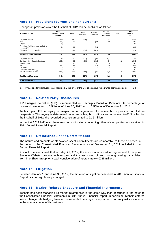### Note 14 – Provisions (current and non-current)

| In millions of Euro                                    | As of<br><b>January 1, 2012</b><br>restated | Increase | Used<br>Reversals        | Unused<br>Reversals | Foreign<br>Exchange<br>Adjustments | Other | As of<br><b>June 30,</b><br>2012 |
|--------------------------------------------------------|---------------------------------------------|----------|--------------------------|---------------------|------------------------------------|-------|----------------------------------|
| <b>Employee Benefits</b>                               | 105,0                                       | 18,2     | (8,9)                    |                     | 0,3                                |       | 114,6                            |
| Tax                                                    | 10,5                                        | 1,3      |                          | (0,1)               | 0.5                                |       | 12,2                             |
| Litigation                                             | 0,2                                         |          | $\overline{\phantom{a}}$ |                     |                                    |       | 0,2                              |
| Provisions for Claims Incurred but not<br>Reported (1) | 7,9                                         | 2,7      | ٠                        | (0,1)               | ٠                                  | ٠     | 10,5                             |
| Other Non-Current Provisions                           | 15,6                                        | 36,4     | (2,2)                    | (37,1)              |                                    | ٠     | 12,7                             |
| <b>Total Non-Current Provisions</b>                    | 139,2                                       | 58,6     | (11,1)                   | (37,3)              | 0,8                                | ۰     | 150,2                            |
| <b>Employee Benefits</b>                               | 4,8                                         | 1,0      | (0,7)                    | (0,5)               | (0,1)                              |       | 4,5                              |
| Contingencies related to Contracts                     | 132,3                                       | 8,5      | (8,8)                    | (32,6)              | 0,4                                | 5,1   | 104,9                            |
| Restructuring                                          | 0.1                                         | 0,1      |                          | 0.1                 |                                    |       | 0,3                              |
| Tax                                                    | 44,1                                        | 3,6      |                          | (3,7)               | 0,5                                |       | 44,5                             |
| Litigation                                             | 0,5                                         |          |                          |                     |                                    |       | 0,5                              |
| Provisions for Claims (1)                              | 1,8                                         | 0,2      |                          |                     |                                    |       | 2,0                              |
| Other Current Provisions                               | 161,4                                       | 21,9     | (51,2)                   | (0,5)               | (1,0)                              | 9,9   | 140,5                            |
| <b>Total Current Provisions</b>                        | 345,0                                       | 35,3     | (60,7)                   | (37,2)              | (0,2)                              | 15,0  | 297,2                            |
| <b>TOTAL PROVISIONS</b>                                | 484,2                                       | 93,9     | (71, 8)                  | (74, 5)             | 0,6                                | 15,0  | 447,4                            |

Changes in provisions over the first half of 2012 can be analyzed as follows:

(1) Provisions for Reinsurance are recorded at the level of the Group's captive reinsurance companies as per IFRS 4.

### Note 15 – Related Party Disclosures

IFP Énergies nouvelles (IFP) is represented on Technip's Board of Directors. Its percentage of ownership amounted to 2.54% as of June 30, 2012 and to 2.55% as of December 31, 2011.

Technip paid IFP a royalty in respect of an agreement for research cooperation on offshore deepwaters. This royalty is determined under arm's length conditions and amounted to €1.9 million for the first half of 2012, the recorded expense amounted to €1.6 million.

In the first 2012 half year, there was no modification concerning other related parties as described in 2011 Annual Financial Report.

### Note 16 – Off Balance Sheet Commitments

The nature and amounts of off-balance sheet commitments are comparable to those disclosed in the notes to the Consolidated Financial Statements as of December 31, 2011 included in the Annual Financial Report.

It should be mentioned that on May 21, 2012, the Group announced an agreement to acquire Stone & Webster process technologies and the associated oil and gas engineering capabilities from The Shaw Group for a cash consideration of approximately €225 million.

### Note 17 – Litigation

Between January 1 and June 30, 2012, the situation of litigation described in 2011 Annual Financial Report has not significantly changed.

### Note 18 – Market Related Exposure and Financial Instruments

Technip has been managing its market related risks in the same way than described in the notes to the Consolidated Financial Statements in 2011 Annual Financial Report. In particular, Technip entered into exchange rate hedging financial instruments to manage its exposure to currency risks as incurred in the normal course of its business.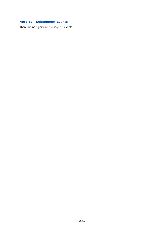### Note 19 – Subsequent Events

There are no significant subsequent events.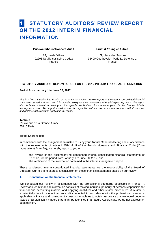# 4 STATUTORY AUDITORS' REVIEW REPORT ON THE 2012 INTERIM FINANCIAL INFORMATION

### **PricewaterhouseCoopers Audit**

63, rue de Villiers France

### **Ernst & Young et Autres**

92208 Neuilly-sur-Seine Cedex 92400 Courbevoie - Paris-La Défense 1 1/2, place des Saisons France

### **STATUTORY AUDITORS' REVIEW REPORT ON THE 2012 INTERIM FINANCIAL INFORMATION**

### **Period from January 1 to June 30, 2012**

*This is a free translation into English of the Statutory Auditors' review report on the interim consolidated financial statements issued in French and it is provided solely for the convenience of English-speaking users. This report also includes information relating to the specific verification of information given in the Group's interim management report. This report should be read in conjunction with and construed in accordance with French law and professional standards applicable in France.* 

### **Technip**

89, avenue de la Grande Armée 75116 Paris

To the Shareholders,

In compliance with the assignment entrusted to us by your Annual General Meeting and in accordance with the requirements of article L.451-1-2 III of the French Monetary and Financial Code (*Code monétaire et financier*), we hereby report to you on:

- the review of the accompanying condensed interim consolidated financial statements of Technip, for the period from January 1 to June 30, 2012, and
- the verification of the information contained in the interim management report.

These condensed interim consolidated financial statements are the responsibility of the Board of Directors. Our role is to express a conclusion on these financial statements based on our review.

### **1. Conclusion on the financial statements**

We conducted our review in accordance with the professional standards applicable in France. A review of interim financial information consists of making inquiries, primarily of persons responsible for financial and accounting matters, and applying analytical and other review procedures. A review is substantially less in scope than an audit conducted in accordance with the professional standards applicable in France and consequently does not enable us to obtain assurance that we would become aware of all significant matters that might be identified in an audit. Accordingly, we do not express an audit opinion.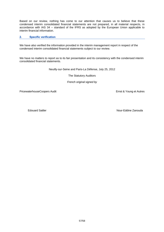Based on our review, nothing has come to our attention that causes us to believe that these condensed interim consolidated financial statements are not prepared, in all material respects, in accordance with IAS 34 – standard of the IFRS as adopted by the European Union applicable to interim financial information.

### **2. Specific verification**

We have also verified the information provided in the interim management report in respect of the condensed interim consolidated financial statements subject to our review.

We have no matters to report as to its fair presentation and its consistency with the condensed interim consolidated financial statements.

Neuilly-sur-Seine and Paris-La Défense, July 25, 2012

The Statutory Auditors

*French original signed by* 

PricewaterhouseCoopers Audit **Example 2018** Ernst & Young et Autres

Edouard Sattler Nour-Eddine Zanouda